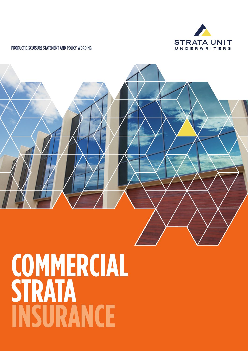

# PRODUCT DISCLOSURE STATEMENT AND POLICY WORDING



# **COMMERCIAL STRATA INSURANCE**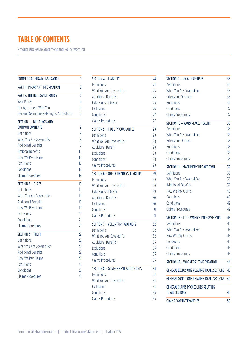# **TABLE OF CONTENTS**

Product Disclosure Statement and Policy Wording

| COMMERCIAL STRATA INSURANCE                         | 1               |
|-----------------------------------------------------|-----------------|
| PART 1: IMPORTANT INFORMATION                       | $\overline{c}$  |
| <b>PART 2: THE INSURANCE POLICY</b>                 | 6               |
| <b>Your Policy</b>                                  | 6               |
| Our Agreement With You                              | 6               |
| <b>General Definitions Relating To All Sections</b> | 6               |
| SECTION 1 - BUILDINGS AND<br><b>COMMON CONTENTS</b> | 9               |
| Definitions                                         | 9               |
| What You Are Covered For                            | 9               |
| <b>Additional Benefits</b>                          | 10              |
| <b>Optional Benefits</b>                            | 15              |
| How We Pay Claims                                   | 15              |
| <b>Exclusions</b>                                   | 17              |
| Conditions                                          | 18              |
| <b>Claims Procedures</b>                            | 18              |
| SECTION 2 - GLASS                                   | 19              |
| Definitions                                         | 19              |
| What You Are Covered For                            | 19              |
| <b>Additional Benefits</b>                          | 19              |
| How We Pay Claims                                   | 19              |
| <b>Exclusions</b>                                   | 20              |
| Conditions                                          | $\overline{21}$ |
| <b>Claims Procedures</b>                            | 21              |
| SECTION 3 - THEFT                                   | 22              |
| Definitions                                         | 22              |
| What You Are Covered For                            | 22              |
| <b>Additional Benefits</b>                          | $\overline{22}$ |
| How We Pay Claims                                   | 22              |
| <b>Exclusions</b>                                   | 23              |
| Conditions                                          | 2 <sup>3</sup>  |
| <b>Claims Procedures</b>                            | 23              |
|                                                     |                 |

| SECTION 4 - LIABILITY                 | 24 |
|---------------------------------------|----|
| Definitions                           | 24 |
| What You Are Covered For              | 25 |
| <b>Additional Benefits</b>            | 25 |
| <b>Extensions Of Cover</b>            | 25 |
| <b>Exclusions</b>                     | 26 |
| Conditions                            | 27 |
| <b>Claims Procedures</b>              | 27 |
| <b>SECTION 5 - FIDELITY GUARANTEE</b> | 28 |
| Definitions                           | 28 |
| What You Are Covered For              | 28 |
| <b>Additional Benefit</b>             | 28 |
| <b>Exclusions</b>                     | 28 |
| Conditions                            | 28 |
| <b>Claims Procedures</b>              | 28 |
| SECTION 6 - OFFICE BEARERS' LIABILITY | 29 |
| Definitions                           | 29 |
| What You Are Covered For              | 29 |
| <b>Extensions Of Cover</b>            | 29 |
| <b>Additional Benefits</b>            | 30 |
| <b>Exclusions</b>                     | 30 |
| Conditions                            | 31 |
| <b>Claims Procedures</b>              | 31 |
| <b>SECTION 7 - VOLUNTARY WORKERS</b>  | 32 |
| Definitions                           | 32 |
| What You Are Covered For              | 32 |
| <b>Additional Benefits</b>            | 33 |
| <b>Exclusions</b>                     | 33 |
| Conditions                            | 33 |
| <b>Claims Procedures</b>              | 33 |
| SECTION 8 - GOVERNMENT AUDIT COSTS    | 34 |
| Definitions                           | 34 |
| What You Are Covered For              | 34 |
| <b>Exclusions</b>                     | 34 |
| Conditions                            | 35 |
| <b>Claims Procedures</b>              | 35 |

| SECTION 9 - LEGAL EXPENSES                                   | 36 |
|--------------------------------------------------------------|----|
| Definitions                                                  | 36 |
| What You Are Covered For                                     | 36 |
| <b>Extensions Of Cover</b>                                   | 36 |
| <b>Exclusions</b>                                            | 36 |
| Conditions                                                   | 37 |
| Claims Procedures                                            | 37 |
| SECTION 10 - WORKPLACE, HEALTH                               | 38 |
| Definitions                                                  | 38 |
| What You Are Covered For                                     | 38 |
| <b>Extensions Of Cover</b>                                   | 38 |
| <b>Exclusions</b>                                            | 38 |
| Conditions                                                   | 38 |
| <b>Claims Procedures</b>                                     | 38 |
| SECTION 11 - MACHINERY BREAKDOWN                             | 39 |
| Definitions                                                  | 39 |
| What You Are Covered For                                     | 39 |
| <b>Additional Benefits</b>                                   | 39 |
| How We Pay Claims                                            | 40 |
| <b>Exclusions</b>                                            | 40 |
| Conditions                                                   | 42 |
| Claims Procedures                                            | 42 |
| SECTION 12 - LOT OWNER'S IMPROVEMENTS                        | 43 |
| Definitions                                                  | 43 |
| What You Are Covered For                                     | 43 |
| How We Pay Claims                                            | 43 |
| Exclusions                                                   | 43 |
| Conditions                                                   | 43 |
| <b>Claims Procedures</b>                                     | 43 |
| SECTION 13 – WORKERS' COMPENSATION                           | 44 |
| <b>GENERAL EXCLUSIONS RELATING TO ALL SECTIONS</b>           | 45 |
| <b>GENERAL CONDITIONS RELATING TO ALL SECTIONS</b>           | 46 |
| <b>GENERAL CLAIMS PROCEDURES RELATING</b><br>TO ALL SECTIONS | 48 |
|                                                              |    |
| <b>CLAIMS PAYMENT EXAMPLES</b>                               | 50 |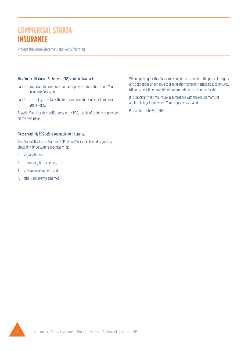# **COMMERCIAL STRATA INSURANCE**

Product Disclosure Statement and Policy Wording

#### This Product Disclosure Statement (PDS) contains two parts:

- Part 1: Important Information contains general information about Your insurance Policy; and
- Part 2: The Policy contains the terms and conditions of Your Commercial Strata Policy.

To assist You to locate specific items in this PDS, a table of contents is provided on the next page.

# Please read this PDS before You apply for insurance.

This Product Disclosure Statement (PDS) and Policy has been designed by Strata Unit Underwriters specifically for:

- 1. strata schemes;
- 2. community title schemes;
- 3. stratum development; and
- 4. other similar-type schemes.

When applying for this Policy You should take account of the particular rights and obligations under any act or regulation governing strata title, community title or similar type property where property to be insured is located.

It is important that You insure in accordance with the requirements of applicable legislation where Your property is situated.

Preparation date 24/11/2015

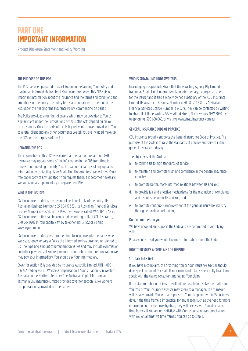Product Disclosure Statement and Policy Wording

#### THE PURPOSE OF THIS PDS

The PDS has been prepared to assist You in understanding Your Policy and making an informed choice about Your insurance needs. This PDS sets out important information about the insurance and the terms and conditions and limitations of the Policy. The Policy terms and conditions are set out in this PDS under the heading 'The Insurance Policy' commencing on page 5.

The Policy provides a number of covers which may be provided to You as a retail client under the Corporations Act 2001 (the Act) depending on Your circumstances. Only the parts of this Policy relevant to cover provided to You as a retail client and any other documents We tell You are included make up the PDS for the purposes of the Act.

#### UPDATING THE PDS

The information in this PDS was current at the date of preparation. CGU Insurance may update some of the information in the PDS from time to time without needing to notify You. You can obtain a copy of any updated information by contacting Us, or Strata Unit Underwriters. We will give You a free paper copy of any updates if You request them. If it becomes necessary, We will issue a supplementary or replacement PDS.

#### WHO IS THE INSURER

CGU Insurance Limited is the insurer of sections 1 to 12 of the Policy. Its Australian Business Number is 27 004 478 371. Its Australian Financial Services Licence Number is 238291. In this PDS, the insurer is called 'We', 'Us' or 'Our'. CGU Insurance Limited can be contacted by writing to Us at CGU Insurance, GPO Box 9902 in Your capital city, by telephoning 131 532 or visiting www.cgu.com.au.

CGU Insurance Limited pays remuneration to insurance intermediaries when We issue, renew or vary a Policy the intermediary has arranged or referred to Us. The type and amount of remuneration varies and may include commission and other payments. If You require more information about remuneration We may pay Your intermediary, You should ask Your intermediary.

Cover for section 13 is provided by Insurance Australia Limited ABN 11 000 016 722 trading as CGU Workers Compensation if Your situation is in Western Australia. In the Northern Territory, The Australian Capital Territory and Tasmania CGU Insurance Limited provides cover for section 13. No workers compensation is provided in other states.

#### WHO IS STRATA UNIT UNDERWRITERS

In arranging this product, Strata Unit Underwriting Agency Pty Limited trading as Strata Unit Underwriters is an intermediary, acting as an agent for the insurer and is also a wholly owned subsidiary of the CGU Insurance Limited. Its Australian Business Number is 30 089 201 534. Its Australian Financial Services Licence Number is 246719. They can be contacted by writing to Strata Unit Underwriters, 5/263 Alfred Street, North Sydney NSW 2060, by telephoning 1300 668 066, or visiting www.stratainsurance.com.au.

#### GENERAL INSURANCE CODE OF PRACTICE

CGU Insurance proudly supports the General Insurance Code of Practice. The purpose of the Code is to raise the standards of practice and service in the general insurance industry.

### The objectives of the Code are:

- a. to commit Us to high standards of service.
- b. to maintain and promote trust and confidence in the general insurance industry;
- c. to promote better, more-informed relations between Us and You;
- d. to provide fair and effective mechanisms for the resolution of complaints and disputes between Us and You, and
- e. to promote continuous improvement of the general insurance industry through education and training.

#### Our Commitment to you

We have adopted and support the Code and are committed to complying with it.

Please contact Us if you would like more information about the Code

#### HOW TO RESOLVE A COMPLAINT OR DISPUTE

#### 1. Talk to Us first

If You have a complaint, the first thing You or Your insurance adviser should do is speak to one of Our staff. If Your complaint relates specifically to a claim, speak with the claims consultant managing Your claim.

If the staff member or claims consultant are unable to resolve the matter for You, You or Your insurance adviser may speak to a manager. The manager will usually provide You with a response to Your complaint within 15 business days. If the time frame is impractical for any reason such as the need for more information or further investigation, they will discuss with You alternative time frames. If You are not satisfied with Our response or We cannot agree with You on alternative time frames, You can go to step 2.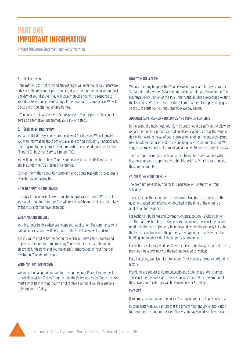Product Disclosure Statement and Policy Wording

#### 2. Seek a review

If the matter is still not resolved, the manager will refer You or Your insurance adviser to the relevant dispute handling department or area who will conduct a review of Your dispute. They will usually provide You with a response to Your dispute within 15 business days. If the time frame is impractical, We will discuss with You alternative time frames.

If You are still not satisfied with Our response to Your dispute or We cannot agree on alternative time frames, You can go to step 3.

#### 3. Seek an external review

You are entitled to seek an external review of Our decision. We will provide You with information about options available to You, including, if appropriate, referring You to the external dispute resolution scheme administered by the Financial Ombudsman Service Limited (FOS).

You will not be able to have Your dispute resolved by the FOS if You are not eligible under the FOS's Terms of Reference.

Further information about Our complaint and dispute resolution procedures is available by contacting Us.

#### HOW TO APPLY FOR INSURANCE

 To apply for insurance please complete Our application form. If We accept Your application for insurance, You will receive a Schedule that sets out details of the insurance You have taken out.

#### WHEN YOU ARE INSURED

Your insurance begins when We accept Your application. The commencement date of Your insurance will be shown on the Schedule We will send You.

The insurance applies for the period for which You have paid Us (or agreed to pay Us) the premium. You may pay Your insurance by cash, cheque or electronic funds transfer. If Your payment is dishonoured by Your financial institution, You are not insured.

#### YOUR COOLING-OFF PERIOD

We will refund all premium paid for cover under Your Policy if You request cancellation within 21 days from the date the Policy was issued. To do this, You must advise Us in writing. You will not receive a refund if You have made a claim under the Policy.

#### HOW TO MAKE A CLAIM

When something happens that You believe You can claim for, please contact Strata Unit Underwriters. Details about making a claim are shown in the 'The Insurance Policy' section of this PDS under 'General Claims Procedures Relating to all sections'. We have also provided 'Claims Payment Examples' on pages 53 to 56, to assist You to understand how We pay claims.

#### ADEQUATE SUM INSURED – BUILDINGS AND COMMON CONTENTS

In the event of a major loss, Your Sum Insured should be sufficient to allow for replacement of Your property including all associated costs (e.g. the value of demolition work, removal of debris, surveying, engineering and architectural fees, Goods and Services Tax). To ensure adequacy of Your Sum Insured, We suggest a professional replacement valuation be obtained on a regular basis.

There are specific requirements in each state and territory that deal with insurance for strata properties. You should check that Your insurance meets those requirements.

#### CALCULATING YOUR PREMIUM

The premium payable by You for this insurance will be shown on Your Schedule.

The key factors that influence the premium calculation are reflected in the questions asked and information obtained at the time of the enquiry or application for insurance.

For section 1 – Buildings and Common Contents, section – 2 Glass, section 3 – Theft and section 12 – Lot Owner's Improvements, these include factors relating to the type of property being insured, where the property is located, the type of construction of the property, the type of occupants within the Building and to what extent the property is unoccupied.

For section 7 voluntary workers, these factors include the ages, current health, previous illness and injury of the persons covered as workers.

For all sections, We also take into account Your previous insurance and claims history.

Premiums are subject to Commonwealth and State taxes and/or charges. These include the Goods and Services Tax and Stamp Duty. The amount of these taxes and/or charges will be shown on Your Schedule.

### **EXCESSES**

If You make a claim under the Policy, You may be required to pay an Excess.

In some instances, You can select at the time of Your enquiry or application for insurance the amount of Excess You wish to pay should You have a claim.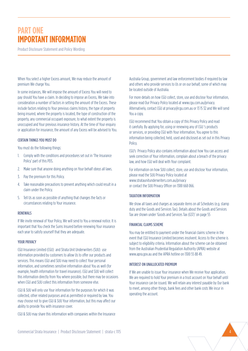Product Disclosure Statement and Policy Wording

When You select a higher Excess amount, We may reduce the amount of premium We charge You.

In some instances, We will impose the amount of Excess You will need to pay should You have a claim. In deciding to impose an Excess, We take into consideration a number of factors in setting the amount of the Excess. These include factors relating to Your previous claims history, the type of property being insured, where the property is located, the type of construction of the property, any commercial occupant exposure, to what extent the property is unoccupied and Your previous insurance history. At the time of Your enquiry or application for insurance, the amount of any Excess will be advised to You.

#### CERTAIN THINGS YOU MUST DO

You must do the following things:

- 1. Comply with the conditions and procedures set out in 'The Insurance Policy' part of this PDS.
- 2. Make sure that anyone doing anything on Your behalf obeys all laws.
- 3. Pay the premium for this Policy.
- 4. Take reasonable precautions to prevent anything which could result in a claim under the Policy.
- 5. Tell Us as soon as possible of anything that changes the facts or circumstances relating to Your insurance.

#### RENEWALS

If We invite renewal of Your Policy, We will send to You a renewal notice. It is important that You check the Sums Insured before renewing Your insurance each year to satisfy yourself that they are adequate.

#### YOUR PRIVACY

CGU Insurance Limited (CGU) and Strata Unit Underwriters (SUU) use information provided by customers to allow Us to offer our products and services. This means CGU and SUU may need to collect Your personal information, and sometimes sensitive information about You as well (for example, health information for travel insurance). CGU and SUU will collect this information directly from You where possible, but there may be occasions when CGU and SUU collect this information from someone else.

CGU & SUU will only use Your information for the purposes for which it was collected, other related purposes and as permitted or required by law. You may choose not to give CGU & SUU Your information, but this may affect our ability to provide You with insurance cover.

CGU & SUU may share this information with companies within the Insurance

Australia Group, government and law enforcement bodies if required by law and others who provide services to Us or on our behalf, some of which may be located outside of Australia.

For more details on how CGU collect, store, use and disclose Your information, please read Our Privacy Policy located at www.cgu.com.au/privacy. Alternatively, contact CGU at privacy@cgu.com.au or 13 15 32 and We will send You a copy.

CGU recommend that You obtain a copy of this Privacy Policy and read it carefully. By applying for, using or renewing any of CGU 's products or services, or providing CGU with Your information, You agree to this information being collected, held, used and disclosed as set out in this Privacy Policy.

CGU's Privacy Policy also contains information about how You can access and seek correction of Your information, complain about a breach of the privacy law, and how CGU will deal with Your complaint.

For information on how SUU collect, store, use and disclose Your information, please read the SUU Privacy Policy located at www.strataunitunderwriters.com.au/privacy or contact the SUU Privacy Officer on 1300 668 066.

#### TAXATION INFORMATION

We show all taxes and charges as separate items on all Schedules (e.g. stamp duty and the Goods and Services Tax). Details about the Goods and Services Tax are shown under 'Goods and Services Tax (GST)' on page 55

#### FINANCIAL CLAIMS SCHEME

You may be entitled to payment under the financial claims scheme in the event that CGU Insurance Limited becomes insolvent. Access to the scheme is subject to eligibility criteria. Information about the scheme can be obtained from the Australian Prudential Regulation Authority (APRA) website at www.apra.gov.au and the APRA hotline on 1300 55 88 49.

#### INTEREST ON UNALLOCATED PREMIUM

If We are unable to issue Your insurance when We receive Your application, We are required to hold Your premium in a trust account on Your behalf until Your insurance can be issued. We will retain any interest payable by Our bank to meet, among other things, bank fees and other bank costs We incur in operating the account.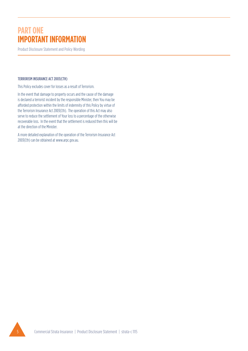Product Disclosure Statement and Policy Wording

#### TERRORISM INSURANCE ACT 2003(CTH)

This Policy excludes cover for losses as a result of Terrorism.

In the event that damage to property occurs and the cause of the damage is declared a terrorist incident by the responsible Minister, then You may be afforded protection within the limits of indemnity of this Policy by virtue of the Terrorism Insurance Act 2003(Cth). The operation of this Act may also serve to reduce the settlement of Your loss to a percentage of the otherwise recoverable loss. In the event that the settlement is reduced then this will be at the direction of the Minister.

A more detailed explanation of the operation of the Terrorism Insurance Act 2003(Cth) can be obtained at www.arpc.gov.au.

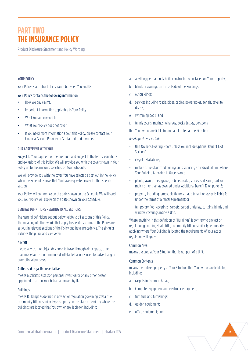# **PART TWO THE INSURANCE POLICY**

Product Disclosure Statement and Policy Wording

#### YOUR POLICY

Your Policy is a contract of insurance between You and Us.

#### Your Policy contains the following information:

- How We pay claims.
- Important information applicable to Your Policy.
- What You are covered for.
- What Your Policy does not cover.
- If You need more information about this Policy, please contact Your Financial Service Provider or Strata Unit Underwriters.

#### OUR AGREEMENT WITH YOU

Subject to Your payment of the premium and subject to the terms, conditions and exclusions of this Policy, We will provide You with the cover shown in Your Policy up to the amounts specified on Your Schedule.

We will provide You with the cover You have selected as set out in the Policy when the Schedule shows that You have requested cover for that specific section.

Your Policy will commence on the date shown on the Schedule We will send You. Your Policy will expire on the date shown on Your Schedule.

#### GENERAL DEFINITIONS RELATING TO ALL SECTIONS

The general definitions set out below relate to all sections of this Policy. The meaning of other words that apply to specific sections of the Policy are set out in relevant sections of the Policy and have precedence. The singular includes the plural and vice versa

#### Aircraft

means any craft or object designed to travel through air or space, other than model aircraft or unmanned inflatable balloons used for advertising or promotional purposes.

#### Authorised Legal Representative

means a solicitor, assessor, personal investigator or any other person appointed to act on Your behalf approved by Us.

#### Buildings

means Buildings as defined in any act or regulation governing strata title, community title or similar-type property in the state or territory where the buildings are located that You own or are liable for, including:

- a. anything permanently built, constructed or installed on Your property;
- b. blinds or awnings on the outside of the Buildings;
- c. outbuildings;
- d. services including roads, pipes, cables, power poles, aerials, satellite dishes;
- e. swimming pools; and
- f. tennis courts, marinas, wharves, docks, jetties, pontoons.

that You own or are liable for and are located at the Situation.

*Buildings do not include:*

- Unit Owner's Floating Floors unless You include Optional Benefit 1. of Section 1.
- illegal installations;
- mobile or fixed air conditioning units servicing an individual Unit where Your Building is located in Queensland;
- plants, lawns, trees, gravel, pebbles, rocks, stones, soil, sand, bark or mulch other than as covered under Additional Benefit 17 on page 12;
- property including removable fixtures that a tenant or lessee is liable for under the terms of a rental agreement; or
- temporary floor coverings, carpets, carpet underlay, curtains, blinds and window coverings inside a Unit.

Where anything in this definition of "Buildings" is contrary to any act or regulation governing strata title, community title or similar type property applying where Your Building is located the requirements of Your act or regulation will apply.

#### Common Area

means the area at Your Situation that is not part of a Unit.

#### Common Contents

means the unfixed property at Your Situation that You own or are liable for, including:

- a. carpets in Common Areas;
- b. Computer Equipment and electronic equipment;
- c. furniture and furnishings;
- d. garden equipment;
- e. office equipment; and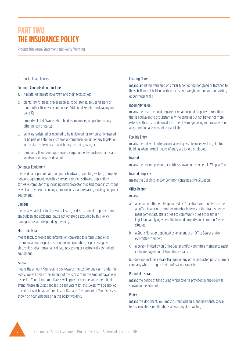# **PART TWO THE INSURANCE POLICY**

Product Disclosure Statement and Policy Wording

f. portable appliances.

#### Common Contents do not include:

- a. Aircraft, Watercraft, hovercraft and their accessories;
- b. plants, lawns, trees, gravel, pebbles, rocks, stones, soil, sand, bark or mulch other than as covered under Additional Benefit Landscaping on page 12;
- c. property of Unit Owners, shareholders, members, proprietors or any other person or party;
- d. Vehicles registered or required to be registered or compulsorily insured or be part of a statutory scheme of compensation under any legislation in the state or territory in which they are being used; or
- e. temporary floor coverings, carpets, carpet underlay, curtains, blinds and window coverings inside a Unit.

#### Computer Equipment

means data or part of data, computer hardware, operating system, computer network, equipment, websites, servers, extranet, software, applications software, computer chip including microprocessor chip and coded instructions as well as any new technology, product or service replacing existing computer equipment.

#### Damage

means any partial or total physical loss of, or destruction of property from any sudden and accidental cause not otherwise excluded by this Policy. Damaged has a corresponding meaning.

#### Electronic Data

means facts, concepts and information converted to a form useable for communications, display, distribution, interpretation, or processing by electronic or electromechanical data processing or electronically controlled equipment.

#### Excess

means the amount You have to pay towards the cost for any claim under the Policy. We will deduct the amount of the Excess from the amount payable in respect of Your claim. Your Excess will apply for each separate identifiable event. Where an Excess applies to each vacant lot, this Excess will be applied to each lot which has suffered loss or Damage. The amount of Your Excess is shown on Your Schedule or in this policy wording.

#### Floating Floors

means laminated, veneered or similar type flooring not glued or fastened to the sub-floor but held in position by its own weight with or without skirting at perimeter walls.

#### Indemnity Value

means the cost to rebuild, replace or repair Insured Property to condition that is equivalent to or substantially the same as but not better nor more extensive than its condition at the time of Damage taking into consideration age, condition and remaining useful life.

#### Forcible Entry

means the unlawful entry accompanied by visible force used to get into a Building when normal means of entry are locked or blocked.

#### Insured

means the person, persons, or entities shown on the Schedule We give You.

#### Insured Property

means the Buildings and/or Common Contents at the Situation.

#### Office Bearer

means:

- a. a person or other entity appointed by Your strata community to act as an office bearer or committee member in terms of the strata schemes management act, strata titles act, community titles act or similar legislation applying where the Insured Property and Common Area is situated;
- b. a Strata Manager appointed as an agent of an Office Bearer and/or committee member;
- C. a person invited by an Office Bearer and/or committee member to assist in the management of Your Strata affairs.

but does not include a Strata Manager or any other contracted person, firm or company when acting in their professional capacity.

#### Period of Insurance

means the period of time during which cover is provided by the Policy as shown on the Schedule.

#### Policy

means this document, Your most current Schedule, endorsements, special terms, conditions or alterations advised by Us in writing.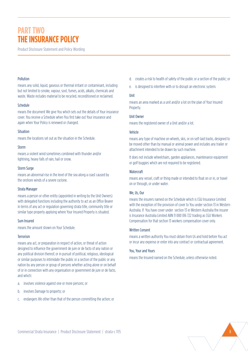# **PART TWO THE INSURANCE POLICY**

Product Disclosure Statement and Policy Wording

#### Pollution

means any solid, liquid, gaseous or thermal irritant or contaminant, including but not limited to smoke, vapour, soot, fumes, acids, alkalis, chemicals and waste. Waste includes material to be recycled, reconditioned or reclaimed.

#### Schedule

means the document We give You which sets out the details of Your insurance cover. You receive a Schedule when You first take out Your insurance and again when Your Policy is renewed or changed.

#### Situation

means the locations set out as the situation in the Schedule.

#### Storm

means a violent wind sometimes combined with thunder and/or lightning, heavy falls of rain, hail or snow.

#### Storm Surge

means an abnormal rise in the level of the sea along a coast caused by the onshore winds of a severe cyclone.

#### Strata Manager

means a person or other entity (appointed in writing by the Unit Owners) with delegated functions including the authority to act as an Office Bearer in terms of any act or regulation governing strata title, community title or similar type property applying where Your Insured Property is situated.

#### Sum Insured

means the amount shown on Your Schedule.

#### **Terrorism**

means any act, or preparation in respect of action, or threat of action designed to influence the government de jure or de facto of any nation or any political division thereof, or in pursuit of political, religious, ideological or similar purposes to intimidate the public or a section of the public or any nation by any person or group of persons whether acting alone or on behalf of or in connection with any organisation or government de jure or de facto, and which:

- a. involves violence against one or more persons; or
- b. involves Damage to property; or
- c. endangers life other than that of the person committing the action; or
- d. creates a risk to health of safety of the public or a section of the public; or
- e. is designed to interfere with or to disrupt an electronic system.

#### Unit

means an area marked as a unit and/or a lot on the plan of Your Insured Property.

#### Unit Owner

means the registered owner of a Unit and/or a lot.

#### Vehicle

means any type of machine on wheels, skis, or on self-laid tracks, designed to be moved other than by manual or animal power and includes any trailer or attachment intended to be drawn by such machine.

It does not include wheelchairs, garden appliances, maintenance equipment or golf buggies which are not required to be registered.

#### **Watercraft**

means any vessel, craft or thing made or intended to float on or in, or travel on or through, or under water.

#### We, Us, Our

means the insurers named on the Schedule which is CGU Insurance Limited with the exception of the provision of cover to You under section 13 in Western Australia. If You have cover under section 13 in Western Australia the insurer is Insurance Australia Limited ABN 11 000 016 722 trading as CGU Workers Compensation for that section 13 workers compensation cover only.

#### Written Consent

means a written authority You must obtain from Us and hold before You act or incur any expense or enter into any contract or contractual agreement.

#### You, Your and Yours

means the Insured named on the Schedule, unless otherwise noted.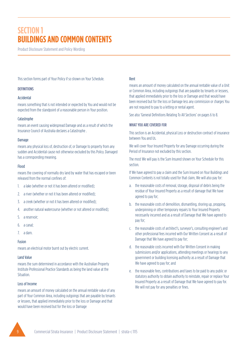Product Disclosure Statement and Policy Wording

This section forms part of Your Policy if so shown on Your Schedule.

#### DEFINITIONS

### Accidental

means something that is not intended or expected by You and would not be expected from the standpoint of a reasonable person in Your position.

#### **Catastrophe**

means an event causing widespread Damage and as a result of which the Insurance Council of Australia declares a Catastrophe .

#### Damage

means any physical loss of, destruction of, or Damage to property from any sudden and Accidental cause not otherwise excluded by this Policy. Damaged has a corresponding meaning.

#### Flood

means the covering of normally dry land by water that has escaped or been released from the normal confines of:

- 1. a lake (whether or not it has been altered or modified);
- 2. a river (whether or not it has been altered or modified);
- 3. a creek (whether or not it has been altered or modified);
- 4. another natural watercourse (whether or not altered or modified);
- 5. a reservoir;
- 6. a canal;
- 7. a dam.

# Fusion

means an electrical motor burnt out by electric current.

#### Land Value

means the sum determined in accordance with the Australian Property Institute Professional Practice Standards as being the land value at the Situation.

# Loss of Income

means an amount of money calculated on the annual rentable value of any part of Your Common Area, including outgoings that are payable by tenants or lessees, that applied immediately prior to the loss or Damage and that would have been received but for the loss or Damage

### Rent

means an amount of money calculated on the annual rentable value of a Unit or Common Area, including outgoings that are payable by tenants or lessees, that applied immediately prior to the loss or Damage and that would have been received but for the loss or Damage less any commission or charges You are not required to pay to a letting or rental agent.

See also 'General Definitions Relating To All Sections' on pages 6 to 8.

# WHAT YOU ARE COVERED FOR

This section is an Accidental, physical Loss or destruction contract of insurance between You and Us.

We will cover Your Insured Property for any Damage occurring during the Period of Insurance not excluded by this section.

The most We will pay is the Sum Insured shown on Your Schedule for this section.

If We have agreed to pay a claim and the Sum Insured on Your Buildings and Common Contents is not totally used for that claim, We will also pay for:

- a. the reasonable costs of removal, storage, disposal of debris being the residue of Your Insured Property as a result of damage that We have agreed to pay for;
- b. the reasonable costs of demolition, dismantling, shoring up, propping, underpinning or other temporary repairs to Your Insured Property necessarily incurred and as a result of Damage that We have agreed to pay for;
- c. the reasonable costs of architect's, surveyor's, consulting engineer's and other professional fees incurred with Our Written Consent as a result of Damage that We have agreed to pay for;
- d. the reasonable costs incurred with Our Written Consent in making submissions and/or applications, attending meetings or hearings to any government or building licensing authority as a result of Damage that We have agreed to pay for; and
- e. the reasonable fees, contributions and taxes to be paid to any public or statutory authority to obtain authority to reinstate, repair or replace Your Insured Property as a result of Damage that We have agreed to pay for. We will not pay for any penalties or fines.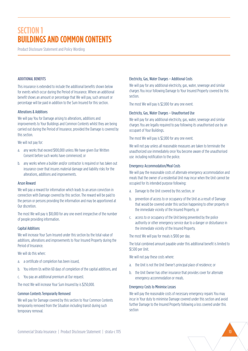Product Disclosure Statement and Policy Wording

#### ADDITIONAL BENEFITS

This insurance is extended to include the additional benefits shown below for events which occur during the Period of Insurance. Where an additional benefit shows an amount or percentage that We will pay, such amount or percentage will be paid in addition to the Sum Insured for this section.

#### Alterations & Additions

We will pay You for Damage arising to alterations, additions and improvements to Your Buildings and Common Contents whilst they are being carried out during the Period of Insurance, provided the Damage is covered by this section.

We will not pay for:

- a. any works that exceed \$100,000 unless We have given Our Written Consent before such works have commenced; or
- b. any works where a builder and/or contractor is required or has taken out insurance cover that insures material damage and liability risks for the alterations, additions and improvements.

#### Arson Reward

We will pay a reward for information which leads to an arson conviction in connection with Damage covered by this section. The reward will be paid to the person or persons providing the information and may be apportioned at Our discretion.

The most We will pay is \$10,000 for any one event irrespective of the number of people providing information.

#### Capital Additions

We will increase Your Sum Insured under this section by the total value of additions, alterations and improvements to Your Insured Property during the Period of Insurance.

We will do this when:

- a. a certificate of completion has been issued,
- b. You inform Us within 60 days of completion of the capital additions, and
- c. You pay an additional premium at Our request.

The most We will increase Your Sum Insured by is \$250,000.

#### Common Contents Temporarily Removed

We will pay for Damage covered by this section to Your Common Contents temporarily removed from the Situation including transit during such temporary removal.

#### Electricity, Gas, Water Charges – Additional Costs

We will pay for any additional electricity, gas, water, sewerage and similar charges You incur following Damage to Your Insured Property covered by this section.

The most We will pay is \$2,000 for any one event.

#### Electricity, Gas, Water Charges – Unauthorised Use

We will pay for any additional electricity, gas, water, sewerage and similar charges You are legally required to pay following its unauthorised use by an occupant of Your Buildings.

The most We will pay is \$2,000 for any one event.

We will not pay unless all reasonable measures are taken to terminate the unauthorized use immediately once You become aware of the unauthorised use including notification to the police.

#### Emergency Accommodation/Meal Costs

We will pay the reasonable costs of alternate emergency accommodation and meals that the owner of a residential Unit may incur when the Unit cannot be occupied for its intended purpose following:

- a. Damage to the Unit covered by this section, or
- b. prevention of access to or occupancy of the Unit as a result of Damage that would be covered under this section happening to other property in the immediate vicinity of the Insured Property, or
- c. access to or occupancy of the Unit being prevented by the police authority or other emergency service due to a danger or disturbance in the immediate vicinity of the Insured Property.

The most We will pay for meals is \$100 per day.

The total combined amount payable under this additional benefit is limited to \$1,500 per Unit.

We will not pay these costs where:

- a. the Unit is not the Unit Owner's principal place of residence; or
- b. the Unit Owner has other insurance that provides cover for alternate emergency accommodation or meals.

#### Emergency Costs to Minimise Losses

We will pay the reasonable costs of necessary emergency repairs You may incur in Your duty to minimise Damage covered under this section and avoid further Damage to the Insured Property following a loss covered under this section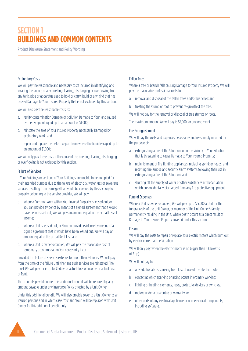Product Disclosure Statement and Policy Wording

#### Exploratory Costs

We will pay the reasonable and necessary costs incurred in identifying and locating the source of any bursting, leaking, discharging or overflowing from any tank, pipe or apparatus used to hold or carry liquid of any kind that has caused Damage to Your Insured Property that is not excluded by this section.

We will also pay the reasonable costs to:

- a. rectify contamination Damage or pollution Damage to Your land caused by the escape of liquid up to an amount of \$1,000;
- b. reinstate the area of Your Insured Property necessarily Damaged by exploratory work; and
- c. repair and replace the defective part from where the liquid escaped up to an amount of \$1,000;

We will only pay these costs if the cause of the bursting, leaking, discharging or overflowing is not excluded by this section.

#### Failure of Services

If Your Buildings or sections of Your Buildings are unable to be occupied for their intended purpose due to the failure of electricity, water, gas or sewerage services resulting from Damage (that would be covered by this section) to property belonging to the service provider, We will pay:

- a. where a Common Area within Your Insured Property is leased out, or You can provide evidence by means of a signed agreement that it would have been leased out, We will pay an amount equal to the actual Loss of Income;
- b. where a Unit is leased out, or You can provide evidence by means of a signed agreement that it would have been leased out, We will pay an amount equal to the actual Rent lost; and
- c. where a Unit is owner-occupied, We will pay the reasonable cost of temporary accommodation You necessarily incur

Provided the failure of services extends for more than 24 hours, We will pay from the time of the failure until the time such services are reinstated. The most We will pay for is up to 30 days of actual Loss of Income or actual Loss of Rent.

The amounts payable under this additional benefit will be reduced by any amount payable under any insurance Policy affected by a Unit Owner.

Under this additional benefit, We will also provide cover to a Unit Owner as an insured persons and in which case 'You' and 'Your' will be replaced with Unit Owner for this additional benefit only.

### Fallen Trees

Where a tree or branch falls causing Damage to Your Insured Property We will pay the reasonable professional costs for:

- a. removal and disposal of the fallen trees and/or branches; and
- b. treating the stump or root to prevent re-growth of the tree.

We will not pay for the removal or disposal of tree stumps or roots.

The maximum amount We will pay is \$5,000 for any one event.

#### Fire Extinguishment

We will pay the costs and expenses necessarily and reasonably incurred for the purpose of:

- a. extinguishing a fire at the Situation, or in the vicinity of Your Situation that is threatening to cause Damage to Your Insured Property;
- b. replenishment of fire fighting appliances, replacing sprinkler heads, and resetting fire, smoke and security alarm systems following their use in extinguishing a fire at the Situation; and
- c. shutting off the supply of water or other substances at the Situation which are accidentally discharged from any fire protective equipment.

#### Funeral Expenses

Where a Unit is owner-occupied, We will pay up to \$ 5,000 a Unit for the funeral costs of the Unit Owner, or member of the Unit Owner's family permanently residing in the Unit, where death occurs as a direct result of Damage to Your Insured Property covered under this section.

#### Fusion

We will pay the costs to repair or replace Your electric motors which burn out by electric current at the Situation.

We will only pay when the electric motor is no bigger than 5 kilowatts  $(6.7)$  hp).

We will not pay for:

- a. any additional costs arising from loss of use of the electric motor;
- b. contact at which sparking or arcing occurs in ordinary working;
- c. lighting or heating elements, fuses, protective devices or switches.
- d. motors under a guarantee or warranty; or
- e. other parts of any electrical appliance or non-electrical components, including software.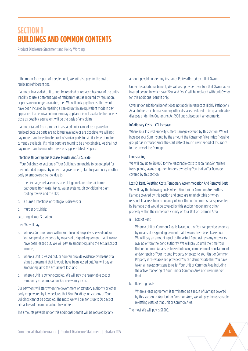Product Disclosure Statement and Policy Wording

If the motor forms part of a sealed unit, We will also pay for the cost of replacing refrigerant gas.

If a motor in a sealed unit cannot be repaired or replaced because of the unit's inability to use a different type of refrigerant gas as required by regulation, or parts are no longer available, then We will only pay the cost that would have been incurred in repairing a sealed unit in an equivalent modern day appliance. If an equivalent modern day appliance is not available then one as close as possibly equivalent will be the basis of any claim.

If a motor (apart from a motor in a sealed unit) cannot be repaired or replaced because parts are no longer available or are obsolete, we will not pay more than the estimated cost of similar parts for similar type of motor currently available. If similar parts are found to be unobtainable, we shall not pay more than the manufacturers or suppliers latest list price.

#### Infectious Or Contagious Disease, Murder And/Or Suicide

If Your Buildings or sections of Your Buildings are unable to be occupied for their intended purpose by order of a government, statutory authority or other body so empowered by law due to;

- a. the discharge, release or escape of legionella or other airborne pathogens from water tanks, water systems, air conditioning plant, cooling towers and the like;
- b. a human Infectious or contagious disease; or
- c. murder or suicide;

occurring at Your Situation

then We will pay:

- a. where a Common Area within Your Insured Property is leased out, or You can provide evidence by means of a signed agreement that it would have been leased out, We will pay an amount equal to the actual Loss of Income;
- b. where a Unit is leased out, or You can provide evidence by means of a signed agreement that it would have been leased out, We will pay an amount equal to the actual Rent lost; and
- c. where a Unit is owner-occupied, We will pay the reasonable cost of temporary accommodation You necessarily incur.

Our payment will start when the government or statutory authority or other body empowered by law declares that Your Buildings or sections of Your Buildings cannot be occupied. The most We will pay for is up to 30 days of actual Loss of Income or actual Loss of Rent.

The amounts payable under this additional benefit will be reduced by any

amount payable under any insurance Policy affected by a Unit Owner.

Under this additional benefit, We will also provide cover to a Unit Owner as an insured person in which case 'You' and 'Your' will be replaced with Unit Owner for this additional benefit only.

Cover under additional benefit does not apply in respect of Highly Pathogenic Avian Influenza in humans or any other diseases declared to be quarantinable diseases under the Quarantine Act 1908 and subsequent amendments.

#### Inflationary Costs – CPI Increase

Where Your Insured Property suffers Damage covered by this section, We will increase Your Sum Insured by the amount the Consumer Price Index (housing group) has increased since the start date of Your current Period of Insurance to the time of the Damage.

#### Landscaping

We will pay up to \$10,000 for the reasonable costs to repair and/or replace trees, plants, lawns or garden borders owned by You that suffer Damage covered by this section.

#### Loss Of Rent, Reletting Costs, Temporary Accommodation And Removal Costs

We will pay the following costs where Your Unit or Common Area suffers Damage covered by this section and areas are uninhabitable or when reasonable access to or occupancy of Your Unit or Common Area is prevented by Damage that would be covered by this section happening to other property within the immediate vicinity of Your Unit or Common Area:

a. Loss of Rent

Where a Unit or Common Area is leased out, or You can provide evidence by means of a signed agreement that it would have been leased out, We will pay an amount equal to the actual Rent lost less any recoveries available from the bond authority. We will pay up until the time Your Unit or Common Area is re-leased following completion of reinstatement and/or repair of Your Insured Property or access to Your Unit or Common Property is re-established provided You can demonstrate that You have taken all necessary steps to re-let Your Unit or Common Area including the active marketing of Your Unit or Common Area at current market Rent.

b. Reletting Costs

Where a lease agreement is terminated as a result of Damage covered by this section to Your Unit or Common Area, We will pay the reasonable re-letting costs of that Unit or Common Area.

The most We will pay is \$1,500.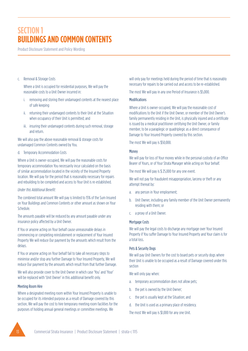Product Disclosure Statement and Policy Wording

#### c. Removal & Storage Costs

Where a Unit is occupied for residential purposes, We will pay the reasonable costs to a Unit Owner incurred in:

- i. removing and storing their undamaged contents at the nearest place of safe keeping
- ii. returning their undamaged contents to their Unit at the Situation when occupancy of their Unit is permitted; and
- iii. insuring their undamaged contents during such removal, storage and return.

We will also pay the above reasonable removal & storage costs for undamaged Common Contents owned by You.

### d. Temporary Accommodation Costs

Where a Unit is owner-occupied, We will pay the reasonable costs for temporary accommodation You necessarily incur calculated on the basis of similar accommodation located in the vicinity of the Insured Property location. We will pay for the period that is reasonably necessary for repairs and rebuilding to be completed and access to Your Unit is re-established.

### *Under this Additional Benefit:*

The combined total amount We will pay is limited to 15% of the Sum Insured on Your Buildings and Common Contents or other amount as shown on Your Schedule.

The amounts payable will be reduced by any amount payable under any insurance policy affected by a Unit Owner.

If You or anyone acting on Your behalf cause unreasonable delays in commencing or completing reinstatement or replacement of Your Insured Property We will reduce Our payment by the amounts which result from the delays.

If You or anyone acting on Your behalf fail to take all necessary steps to minimise and/or stop any further Damage to Your Insured Property, We will reduce Our payment by the amounts which result from that further Damage.

We will also provide cover to the Unit Owner in which case 'You' and 'Your' will be replaced with 'Unit Owner' in this additional benefit only.

# Meeting Room Hire

Where a designated meeting room within Your Insured Property is unable to be occupied for its intended purpose as a result of Damage covered by this section, We will pay the cost to hire temporary meeting room facilities for the purposes of holding annual general meetings or committee meetings. We

will only pay for meetings held during the period of time that is reasonably necessary for repairs to be carried out and access to be re-established.

The most We will pay in any one Period of Insurance is \$5,000.

# **Modifications**

Where a Unit is owner-occupied, We will pay the reasonable cost of modifications to the Unit if the Unit Owner, or member of the Unit Owner's family permanently residing in the Unit, is physically injured and a certificate is issued by a medical practitioner certifying the Unit Owner, or family member, to be a paraplegic or quadriplegic as a direct consequence of Damage to Your Insured Property covered by this section.

The most We will pay is \$50,000.

# Money

We will pay for loss of Your money while in the personal custody of an Office Bearer of Yours, or of Your Strata Manager while acting on Your behalf.

The most We will pay is \$ 25,000 for any one event.

We will not pay for fraudulent misappropriation, larceny or theft or any attempt thereat by:

- a. any person in Your employment;
- b. Unit Owner, including any family member of the Unit Owner permanently residing with them; or
- c. a proxy of a Unit Owner.

# Mortgage Costs

We will pay the legal costs to discharge any mortgage over Your Insured Property if You suffer Damage to Your Insured Property and Your claim is for a total loss.

# Pets & Security Dogs

We will pay Unit Owners for the cost to board pets or security dogs where their Unit is unable to be occupied as a result of Damage covered under this section

We will only pay when:

- a. temporary accommodation does not allow pets;
- b. the pet is owned by the Unit Owner;
- c. the pet is usually kept at the Situation; and
- d. the Unit is used as a primary place of residency.

The most We will pay is \$1,000 for any one Unit.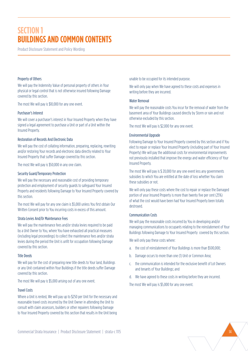Product Disclosure Statement and Policy Wording

#### Property of Others

We will pay the Indemnity Value of personal property of others in Your physical or legal control that is not otherwise insured following Damage covered by this section.

The most We will pay is \$10,000 for any one event.

#### Purchaser's Interest

We will cover a purchaser's interest in Your Insured Property when they have signed a legal agreement to purchase a Unit or part of a Unit within the Insured Property.

### Restoration of Records And Electronic Data

We will pay the cost of collating information, preparing, replacing, rewriting and/or restoring Your records and electronic data directly related to Your Insured Property that suffer Damage covered by this section.

The most We will pay is \$50,000 in any one claim.

#### Security Guard/Temporary Protection

We will pay the necessary and reasonable cost of providing temporary protection and employment of security guards to safeguard Your Insured Property and residents following Damage to Your Insured Property covered by this section.

The most We will pay for any one claim is \$5,000 unless You first obtain Our Written Consent prior to You incurring costs in excess of this amount.

#### Strata Levies And/Or Maintenance Fees

We will pay the maintenance fees and/or strata levies required to be paid by a Unit Owner to You, where You have exhausted all practical measures (including legal proceedings) to collect the maintenance fees and/or strata levies during the period the Unit is unfit for occupation following Damage covered by this section.

#### Title Deeds

We will pay for the cost of preparing new title deeds to Your land, Buildings or any Unit contained within Your Buildings if the title deeds suffer Damage covered by this section.

The most We will pay is \$5,000 arising out of any one event.

#### Travel Costs

Where a Unit is rented, We will pay up to \$250 per Unit for the necessary and reasonable travel costs incurred by the Unit Owner in attending the Unit to consult with claim assessors, builders or other repairers following Damage to Your Insured Property covered by this section that results in the Unit being

unable to be occupied for its intended purpose.

We will only pay when We have agreed to these costs and expenses in writing before they are incurred.

#### Water Removal

We will pay the reasonable costs You incur for the removal of water from the basement area of Your Buildings caused directly by Storm or rain and not otherwise excluded by this section.

The most We will pay is \$2,000 for any one event.

#### Environmental Upgrade

Following Damage to Your Insured Property covered by this section and if You elect to repair or replace Your Insured Property (including part of Your Insured Property) We will pay the additional costs for environmental improvements not previously installed that improve the energy and water efficiency of Your Insured Property.

The most We will pay is \$ 20,000 for any one event less any governments subsidies to which You are entitled at the date of loss whether You claim these subsidies or not.

We will only pay these costs where the cost to repair or replace the Damaged portion of your Insured Property is more than twenty five per cent (25%) of what the cost would have been had Your Insured Property been totally destroyed.

#### Communication Costs

We will pay the reasonable costs incurred by You in developing and/or managing communications to occupants relating to the reinstatement of Your Buildings following Damage to Your Insured Property covered by this section.

We will only pay these costs where:

- a. the cost of reinstatement of Your Buildings is more than \$500,000;
- b. Damage occurs to more than one (1) Unit or Common Area;
- c. the communication is intended for the exclusive benefit of Lot Owners and tenants of Your Buildings; and
- d. We have agreed to these costs in writing before they are incurred.

The most We will pay is \$5,000 for any one event.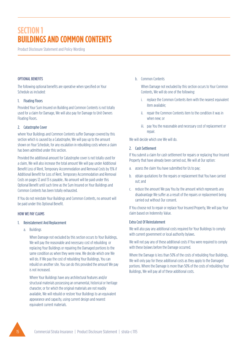Product Disclosure Statement and Policy Wording

# OPTIONAL BENEFITS

The following optional benefits are operative when specified on Your Schedule as included:

#### 1. Floating Floors

Provided Your Sum Insured on Building and Common Contents is not totally used for a claim for Damage, We will also pay for Damage to Unit Owners Floating Floors.

#### 2. Catastrophe Cover

where Your Buildings and Common Contents suffer Damage covered by this section which is caused by a Catastrophe, We will pay up to the amount shown on Your Schedule, for any escalation in rebuilding costs where a claim has been admitted under this section.

Provided the additional amount for Catastrophe cover is not totally used for a claim, We will also increase the total amount We will pay under Additional Benefit Loss of Rent, Temporary Accommodation and Removal Costs by 15% if Additional Benefit for Loss of Rent, Temporary Accommodation and Removal Costs on pages 12 and 13 is payable.. No amount will be paid under this Optional Benefit until such time as the Sum Insured on Your Buildings and Common Contents has been totally exhausted.

If You do not reinstate Your Buildings and Common Contents, no amount will be paid under this Optional Benefit.

#### HOW WE PAY CLAIMS

#### 1. Reinstatement And Replacement

a. Buildings

When Damage not excluded by this section occurs to Your Buildings, We will pay the reasonable and necessary cost of rebuilding or replacing Your Buildings or repairing the Damaged portions to the same condition as when they were new. We decide which one We will do. If We pay the cost of rebuilding Your Buildings, You can rebuild on another site. You can do this provided the amount We pay is not increased.

Where Your Buildings have any architectural features and/or structural materials possessing an ornamental, historical or heritage character, or for which the original materials are not readily available, We will rebuild or restore Your Buildings to an equivalent appearance and capacity, using current design and nearest equivalent current materials.

b. Common Contents

When Damage not excluded by this section occurs to Your Common Contents, We will do one of the following:

- i. replace the Common Contents item with the nearest equivalent item available;
- ii. repair the Common Contents item to the condition it was in when new; or
- iii. pay You the reasonable and necessary cost of replacement or repair.

We will decide which one We will do.

#### 2. Cash Settlement

If You submit a claim for cash settlement for repairs or replacing Your Insured Property that have already been carried out, We will at Our option:

- assess the claim You have submitted for Us to pay;
- b. obtain quotations for the repairs or replacement that You have carried out; and
- c. reduce the amount We pay You by the amount which represents any disadvantage We suffer as a result of the repairs or replacement being carried out without Our consent.

If You choose not to repair or replace Your Insured Property, We will pay Your claim based on Indemnity Value.

#### Extra Cost Of Reinstatement

We will also pay any additional costs required for Your Buildings to comply with current government or local authority bylaws.

We will not pay any of these additional costs if You were required to comply with these bylaws before the Damage occurred.

Where the Damage is less than 50% of the costs of rebuilding Your Buildings, We will only pay for these additional costs as they apply to the Damaged portions. Where the Damage is more than 50% of the costs of rebuilding Your Buildings, We will pay all of these additional costs.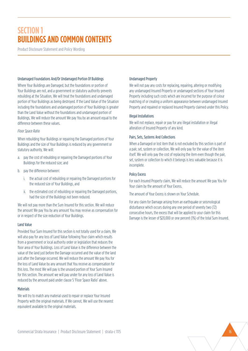Product Disclosure Statement and Policy Wording

#### Undamaged Foundations And/Or Undamaged Portion Of Buildings

Where Your Buildings are Damaged, but the foundations or portion of Your Buildings are not, and a government or statutory authority prevents rebuilding at the Situation, We will treat the foundations and undamaged portion of Your Buildings as being destroyed. If the Land Value of the Situation including the foundations and undamaged portion of Your Buildings is greater than the Land Value without the foundations and undamaged portion of Buildings, We will reduce the amount We pay You by an amount equal to the difference between these values.

#### *Floor Space Ratio*

When rebuilding Your Buildings or repairing the Damaged portions of Your Buildings and the size of Your Buildings is reduced by any government or statutory authority, We will:

- a. pay the cost of rebuilding or repairing the Damaged portions of Your Buildings for the reduced size; and
- b. pay the difference between:
	- i. the actual cost of rebuilding or repairing the Damaged portions for the reduced size of Your Buildings, and
	- ii. the estimated cost of rebuilding or repairing the Damaged portions, had the size of the Buildings not been reduced.

We will not pay more than the Sum Insured for this section. We will reduce the amount We pay You by any amount You may receive as compensation for or in respect of the size reduction of Your Buildings.

#### Land Value

Provided Your Sum Insured for this section is not totally used for a claim, We will also pay for any loss of Land Value following Your claim which results from a government or local authority order or legislation that reduces the floor area of Your Buildings. Loss of Land Value is the difference between the value of the land just before the Damage occurred and the value of the land just after the Damage occurred. We will reduce the amount We pay You for the loss of Land Value by any amount that You receive as compensation for this loss. The most We will pay is the unused portion of Your Sum Insured for this section. The amount we will pay under for any loss of Land Value is reduced by the amount paid under clause 5 'Floor Space Ratio' above.

#### **Materials**

We will try to match any material used to repair or replace Your Insured Property with the original materials. If We cannot, We will use the nearest equivalent available to the original materials.

#### Undamaged Property

We will not pay any costs for replacing, repairing, altering or modifying any undamaged Insured Property or undamaged sections of Your Insured Property including such costs which are incurred for the purpose of colour matching of or creating a uniform appearance between undamaged Insured Property and repaired or replaced Insured Property claimed under this Policy.

#### Illegal Installations

We will not replace, repair or pay for any illegal installation or illegal alteration of Insured Property of any kind.

#### Pairs, Sets, Systems And Collections

When a Damaged or lost item that is not excluded by this section is part of a pair, set, system or collection, We will only pay for the value of the item itself. We will only pay the cost of replacing the item even though the pair, set, system or collection to which it belongs is less valuable because it is incomplete.

#### Policy Excess

For each Insured Property claim, We will reduce the amount We pay You for Your claim by the amount of Your Excess.

The amount of Your Excess is shown on Your Schedule.

For any claim for Damage arising from an earthquake or seismological disturbance which occurs during any one period of seventy two (72) consecutive hours, the excess that will be applied to your claim for this Damage is the lesser of \$20,000 or one percent (1%) of the total Sum Insured.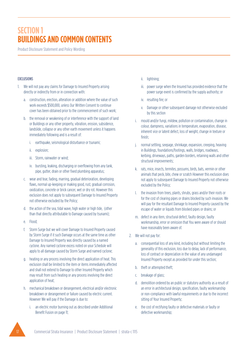Product Disclosure Statement and Policy Wording

# EXCLUSIONS

- 1. We will not pay any claims for Damage to Insured Property arising directly or indirectly from or in connection with:
	- a. construction, erection, alteration or addition where the value of such work exceeds \$500,000, unless Our Written Consent to continue cover has been obtained prior to the commencement of such work;
	- b. the removal or weakening of or interference with the support of land or Buildings or any other property, vibration, erosion, subsidence, landslide, collapse or any other earth movement unless it happens immediately following and is a result of:
		- i. earthquake, seismological disturbance or tsunami;
		- ii. explosion;
		- iii. Storm, rainwater or wind;
		- iv. bursting, leaking, discharging or overflowing from any tank, pipe, gutter, drain or other fixed plumbing apparatus;
	- c. wear and tear, fading, marring, gradual deterioration, developing flaws, normal up-keeping or making good, rust, gradual corrosion, oxidization, concrete or brick cancer, wet or dry rot. However this exclusion does not apply to subsequent Damage to Insured Property not otherwise excluded by the Policy;
	- d. the action of the sea, tidal wave, high water or high tide, (other than that directly attributable to Damage caused by tsunami);
	- e. Flood;
	- f. Storm Surge but we will cover Damage to Insured Property caused by Storm Surge if it such Damage occurs at the same time as other Damage to Insured Property was directly caused by a named cyclone. Any named cyclone excess noted on your Schedule will apply to all damage caused by Storm Surge and named cyclone;
	- g. heating or any process involving the direct application of heat. This exclusion shall be limited to the item or items immediately affected and shall not extend to Damage to other Insured Property which may result from such heating or any process involving the direct application of heat;
	- h. mechanical breakdown or derangement, electrical and/or electronic breakdown or derangement or failure caused by electric current. However We will pay if the Damage is due to:
		- i. an electric motor burning out as described under Additional Benefit Fusion on page 11;
- ii. lightning;
- iii. power surge when the Insured has provided evidence that the power surge event is confirmed by the supply authority; or
- iv. resulting fire; or
- v. Damage or other subsequent damage not otherwise excluded by this section
- i. mould and/or fungi, mildew, pollution or contamination, change in colour, dampness, variations in temperature, evaporation, disease, inherent vice or latent defect, loss of weight, change in texture or finish;
- j. normal settling, seepage, shrinkage, expansion, creeping, heaving in Buildings, foundations/footings, walls, bridges, roadways, kerbing, driveways, paths, garden borders, retaining walls and other structural improvements;
- k. rats, mice, insects, termites, possums, birds, bats, vermin or other animals that peck, bite, chew or scratch However this exclusion does not apply to subsequent Damage to Insured Property not otherwise excluded by the Policy;
- the invasion from trees, plants, shrubs, grass and/or their roots or for the cost of clearing pipes or drains blocked by such invasion. We will pay for the resultant Damage to Insured Property caused by the escape of water or liquids from blocked pipes or drains; or
- m. defect in any item, structural defect, faulty design, faulty workmanship, error or omission that You were aware of or should have reasonably been aware of.
- 2. We will not pay for:
	- a. consequential loss of any kind, including but without limiting the generality of this exclusion, loss due to delay, lack of performance, loss of contract or depreciation in the value of any undamaged Insured Property except as provided for under this section;
	- b. theft or attempted theft;
	- c. breakage of glass;
	- d. demolition ordered by an public or statutory authority as a result of an error in architectural design, specification, faulty workmanship or non-compliance with lawful requirements or due to the incorrect sitting of Your Insured Property;
	- e. the cost of rectifying faulty or defective materials or faulty or defective workmanship;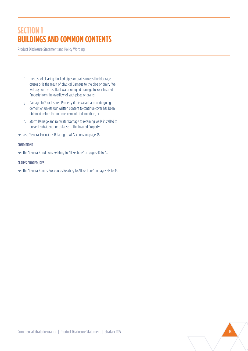Product Disclosure Statement and Policy Wording

- f. the cost of clearing blocked pipes or drains unless the blockage causes or is the result of physical Damage to the pipe or drain. We will pay for the resultant water or liquid Damage to Your Insured Property from the overflow of such pipes or drains;
- g. Damage to Your Insured Property if it is vacant and undergoing demolition unless Our Written Consent to continue cover has been obtained before the commencement of demolition; or
- h. Storm Damage and rainwater Damage to retaining walls installed to prevent subsidence or collapse of the Insured Property.

See also 'General Exclusions Relating To All Sections' on page 45.

# CONDITIONS

See the 'General Conditions Relating To All Sections' on pages 46 to 47.

# CLAIMS PROCEDURES

See the 'General Claims Procedures Relating To All Sections' on pages 48 to 49.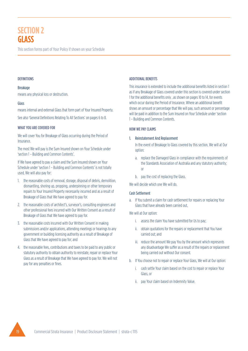# **SECTION 2 GLASS**

This section forms part of Your Policy if shown on your Schedule

### **DEFINITIONS**

#### Breakage

means any physical loss or destruction.

#### Glass

means internal and external Glass that form part of Your Insured Property. See also 'General Definitions Relating To All Sections' on pages 6 to 8.

#### WHAT YOU ARE COVERED FOR

We will cover You for Breakage of Glass occurring during the Period of Insurance.

The most We will pay is the Sum Insured shown on Your Schedule under 'section 1 – Building and Common Contents'.

If We have agreed to pay a claim and the Sum Insured shown on Your Schedule under 'section 1 – Building and Common Contents' is not totally used, We will also pay for:

- 1. the reasonable costs of removal, storage, disposal of debris, demolition, dismantling, shoring up, propping, underpinning or other temporary repairs to Your Insured Property necessarily incurred and as a result of Breakage of Glass that We have agreed to pay for.
- 2. the reasonable costs of architect's, surveyor's, consulting engineers and other professional fees incurred with Our Written Consent as a result of Breakage of Glass that We have agreed to pay for.
- 3. the reasonable costs incurred with Our Written Consent in making submissions and/or applications, attending meetings or hearings to any government or building licensing authority as a result of Breakage of Glass that We have agreed to pay for; and
- 4. the reasonable fees, contributions and taxes to be paid to any public or statutory authority to obtain authority to reinstate, repair or replace Your Glass as a result of Breakage that We have agreed to pay for. We will not pay for any penalties or fines.

# ADDITIONAL BENEFITS

This insurance is extended to include the additional benefits listed in section 1 as if any Breakage of Glass covered under this section is covered under section 1 for the additional benefits only , as shown on pages 10 to 14, for events which occur during the Period of Insurance. Where an additional benefit shows an amount or percentage that We will pay, such amount or percentage will be paid in addition to the Sum Insured on Your Schedule under 'section 1 – Building and Common Contents.

# HOW WE PAY CLAIMS

#### 1. Reinstatement And Replacement

In the event of Breakage to Glass covered by this section, We will at Our option:

- a. replace the Damaged Glass in compliance with the requirements of the Standards Association of Australia and any statutory authority; or
- b. pay the cost of replacing the Glass.

We will decide which one We will do.

# Cash Settlement

- a. If You submit a claim for cash settlement for repairs or replacing Your Glass that have already been carried out,
- We will at Our option:
	- i. assess the claim You have submitted for Us to pay;
	- ii. obtain quotations for the repairs or replacement that You have carried out; and
	- iii. reduce the amount We pay You by the amount which represents any disadvantage We suffer as a result of the repairs or replacement being carried out without Our consent.
- b. If You choose not to repair or replace Your Glass, We will at Our option:
	- i. cash settle Your claim based on the cost to repair or replace Your Glass, or
	- ii. pay Your claim based on Indemnity Value.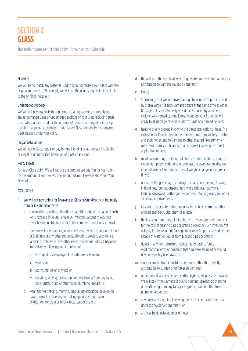# **SECTION 2 GLASS**

This section forms part of Your Policy if shown on your Schedule

### **Materials**

We will try to match any material used to repair or replace Your Glass with the original materials. If We cannot, We will use the nearest equivalent available to the original materials.

#### Undamaged Property

We will not pay any costs for replacing, repairing, altering or modifying any undamaged Glass or undamaged sections of Your Glass including such costs which are incurred for the purpose of colour matching of or creating a uniform appearance between undamaged Glass and repaired or replaced Glass claimed under this Policy.

#### Illegal Installations

We will not replace, repair or pay for any illegal or unauthorised installation or illegal or unauthorised alteration of Glass of any kind.

#### Policy Excess

For each Glass claim, We will reduce the amount We pay You for Your claim by the amount of Your Excess. The amount of Your Excess is shown on Your Schedule.

#### **EXCLUSIONS**

- 1. We will not pay claims for Breakage to Glass arising directly or indirectly from or in connection with
	- a. construction, erection, alteration or addition where the value of such work exceeds \$500,000, unless Our Written Consent to continue cover has been obtained prior to the commencement of such work;
	- b. the removal or weakening of or interference with the support of land or Buildings or any other property, vibration, erosion, subsidence, landslide, collapse or any other earth movement unless it happens immediately following and is a result of:
		- i. earthquake, seismological disturbance or tsunami;
		- ii. explosion;
		- iii. Storm, rainwater or wind; or
		- iv. bursting, leaking, discharging or overflowing from any tank, pipe, gutter, drain or other fixed plumbing apparatus;
	- c. wear and tear, fading, marring, gradual deterioration, developing flaws, normal up-keeping or making good, rust, corrosion, oxidization, concrete or brick cancer, wet or dry rot;
- d. the action of the sea, tidal wave, high water, (other than that directly attributable to Damage caused by tsunami);
- e. Flood;
- f. Storm Surge but we will cover Damage to Insured Property caused by Storm Surge if it such Damage occurs at the same time as other Damage to Insured Property was directly caused by a named cyclone. Any named cyclone Excess noted on your Schedule will apply to all damage caused by Storm Surge and named cyclone;
- g. heating or any process involving the direct application of heat. This exclusion shall be limited to the item or items immediately affected and shall not extend to Damage to other Insured Property which may result from such heating or any process involving the direct application of heat;
- h. mould and/or fungi, mildew, pollution or contamination, change in colour, dampness, variations in temperature, evaporation, disease, inherent vice or latent defect, loss of weight, change in texture or finish;
- i. normal settling, seepage, shrinkage, expansion, creeping, heaving in Buildings, foundations/footings, walls, bridges, roadways, kerbing, driveways, paths, garden borders, retaining walls and other structural improvements;
- rats, mice, insects, termites, possums, birds, bats, vermin or other animals that peck, bite, chew or scratch;
- k. the invasion from trees, plants, shrubs, grass and/or their roots nor for the cost of clearing pipes or drains blocked by such invasion. We will pay for the resultant Damage to Insured Property caused by the escape of water or liquids from blocked pipes or drains;
- l. defect in any item, structural defect, faulty design, faulty workmanship, error or omission that You were aware of or should have reasonably been aware of;
- m. smut or smoke from industrial operations (other than directly attributable to sudden or unforeseen Damage);
- n. underground water or water exerting hydrostatic pressure. However We will pay if the Damage is due to bursting, leaking, discharging or overflowing from any tank, pipe, gutter, drain or other fixed plumbing apparatus;
- o. any process of cleaning involving the use of chemicals other than domestic household chemicals; or
- p. artificial heat, installation or removal.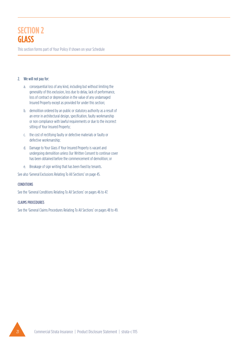# **SECTION 2 GLASS**

This section forms part of Your Policy if shown on your Schedule

# 2. We will not pay for:

- a. consequential loss of any kind, including but without limiting the generality of this exclusion, loss due to delay, lack of performance, loss of contract or depreciation in the value of any undamaged Insured Property except as provided for under this section;
- b. demolition ordered by an public or statutory authority as a result of an error in architectural design, specification, faulty workmanship or non compliance with lawful requirements or due to the incorrect sitting of Your Insured Property;
- c. the cost of rectifying faulty or defective materials or faulty or defective workmanship;
- d. Damage to Your Glass if Your Insured Property is vacant and undergoing demolition unless Our Written Consent to continue cover has been obtained before the commencement of demolition; or
- e. Breakage of sign writing that has been fixed by tenants.

See also 'General Exclusions Relating To All Sections' on page 45.

# CONDITIONS

See the 'General Conditions Relating To All Sections' on pages 46 to 47.

# CLAIMS PROCEDURES

See the 'General Claims Procedures Relating To All Sections' on pages 48 to 49.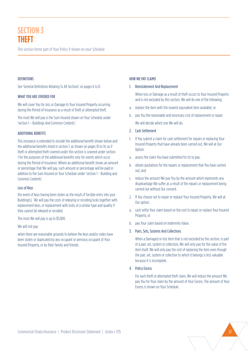# **SECTION 3 THEFT**

This section forms part of Your Policy if shown on your Schedule

#### **DEFINITIONS**

See 'General Definitions Relating To All Sections' on pages 6 to 8.

#### WHAT YOU ARE COVERED FOR

We will cover You for loss or Damage to Your Insured Property occurring during the Period of Insurance as a result of theft or attempted theft.

The most We will pay is the Sum Insured shown on Your Schedule under 'section 1 – Buildings And Common Contents'.

#### ADDITIONAL BENEFITS

This insurance is extended to include the additional benefit shown below and the additional benefits listed in section 1, as shown on pages 10 to 14, as if theft or attempted theft covered under this section is covered under section 1 for the purposes of the additional benefits only for events which occur during the Period of Insurance. Where an additional benefit shows an amount or percentage that We will pay, such amount or percentage will be paid in addition to the Sum Insured on Your Schedule under 'section 1 – Building and Common Contents'.

#### Loss of Keys

the event of keys having been stolen as the result of forcible entry into your Building(s), We will pay the costs of rekeying or recoding locks together with replacement keys, or replacement with locks of a similar type and quality if they cannot be rekeyed or recoded.

The most We will pay is up to \$5,000.

We will not pay:

when there are reasonable grounds to believe the keys and/or codes have been stolen or duplicated by any occupant or previous occupant of Your Insured Property, or by their family and friends.

#### HOW WE PAY CLAIMS

#### 1. Reinstatement And Replacement

When loss or Damage as a result of theft occurs to Your Insured Property and is not excluded by this section, We will do one of the following:

- a. replace the item with the nearest equivalent item available; or
- b. pay You the reasonable and necessary cost of replacement or repair. We will decide which one We will do.
- 2. Cash Settlement
- 1. If You submit a claim for cash settlement for repairs or replacing Your Insured Property that have already been carried out, We will at Our Option:
- a. assess the claim You have submitted for Us to pay;
- b. obtain quotations for the repairs or replacement that You have carried out; and
- c. reduce the amount We pay You by the amount which represents any disadvantage We suffer as a result of the repairs or replacement being carried out without Our consent.
- 2. If You choose not to repair or replace Your Insured Property, We will at Our option:
- a. cash settle Your claim based on the cost to repair or replace Your Insured Property, or
- b. pay Your claim based on Indemnity Value.

#### 3. Pairs, Sets, Systems And Collections

When a Damaged or lost item that is not excluded by this section, is part of a pair, set, system or collection, We will only pay for the value of the item itself. We will only pay the cost of replacing the item even though the pair, set, system or collection to which it belongs is less valuable because it is incomplete.

4. Policy Excess

For each theft or attempted theft claim, We will reduce the amount We pay You for Your claim by the amount of Your Excess. The amount of Your Excess is shown on Your Schedule.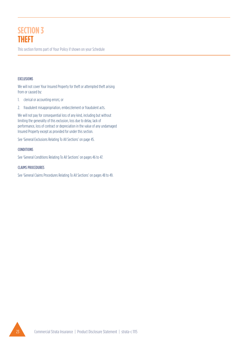# **SECTION 3 THEFT**

This section forms part of Your Policy if shown on your Schedule

# EXCLUSIONS

We will not cover Your Insured Property for theft or attempted theft arising from or caused by:

- 1. clerical or accounting errors; or
- 2. fraudulent misappropriation, embezzlement or fraudulent acts.

We will not pay for consequential loss of any kind, including but without limiting the generality of this exclusion, loss due to delay, lack of performance, loss of contract or depreciation in the value of any undamaged Insured Property except as provided for under this section.

See 'General Exclusions Relating To All Sections' on page 45.

# CONDITIONS

See 'General Conditions Relating To All Sections' on pages 46 to 47.

# CLAIMS PROCEDURES

See 'General Claims Procedures Relating To All Sections' on pages 48 to 49.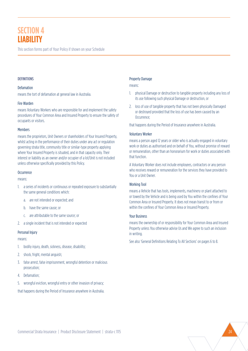This section forms part of Your Policy if shown on your Schedule

#### **DEFINITIONS**

#### Defamation

means the tort of defamation at general law in Australia.

#### Fire Warden

means Voluntary Workers who are responsible for and implement the safety procedures of Your Common Area and Insured Property to ensure the safety of occupants or visitors.

#### Members

means the proprietors, Unit Owners or shareholders of Your Insured Property, whilst acting in the performance of their duties under any act or regulation governing strata title, community title or similar-type property applying where Your Insured Property is situated, and in that capacity only. Their interest or liability as an owner and/or occupier of a lot/Unit is not included unless otherwise specifically provided by this Policy.

#### **Occurrence**

means:

- 1. a series of incidents or continuous or repeated exposure to substantially the same general conditions which:
	- a. are not intended or expected; and
	- b. have the same cause; or
	- c. are attributable to the same source; or
- 2. a single incident that is not intended or expected

# Personal Injury

means:

- 1. bodily injury, death, sickness, disease, disability;
- 2. shock, fright, mental anguish;
- 3. false arrest, false imprisonment, wrongful detention or malicious prosecution;
- 4. Defamation;
- 5. wrongful eviction, wrongful entry or other invasion of privacy;

that happens during the Period of Insurance anywhere in Australia.

### Property Damage

means:

- 1. physical Damage or destruction to tangible property including any loss of its use following such physical Damage or destruction, or
- 2. loss of use of tangible property that has not been physically Damaged or destroyed provided that the loss of use has been caused by an Occurrence;

that happens during the Period of Insurance anywhere in Australia.

#### Voluntary Worker

means a person aged 12 years or older who is actually engaged in voluntary work or duties as authorised and on behalf of You, without promise of reward or remuneration, other than an honorarium for work or duties associated with that function.

A Voluntary Worker does not include employees, contractors or any person who receives reward or remuneration for the services they have provided to You or a Unit Owner.

# Working Tool

means a Vehicle that has tools, implements, machinery or plant attached to or towed by the Vehicle and is being used by You within the confines of Your Common Area or Insured Property. It does not mean transit to or from or within the confines of Your Common Area or Insured Property.

#### Your Business

means the ownership of or responsibility for Your Common Area and Insured Property unless You otherwise advise Us and We agree to such an inclusion in writing.

See also 'General Definitions Relating To All Sections' on pages 6 to 8.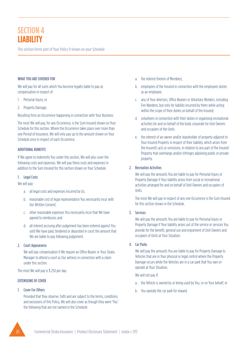This section forms part of Your Policy if shown on your Schedule

### WHAT YOU ARE COVERED FOR

We will pay for all sums which You become legally liable to pay as compensation in respect of:

- 1. Personal Injury; or
- 2. Property Damage;

Resulting from an Occurrence happening in connection with Your Business.

The most We will pay, for any Occurrence, is the Sum Insured shown on Your Schedule for this section. Where the Occurrence takes place over more than one Period of Insurance, We will only pay up to the amount shown on Your Schedule once in respect of each Occurrence.

# ADDITIONAL BENEFITS

If We agree to indemnify You under this section, We will also cover the following costs and expenses. We will pay these costs and expenses in addition to the Sum Insured for this section shown on Your Schedule.

#### 1. Legal Costs

We will pay:

- a. all legal costs and expenses incurred by Us;
- b. reasonable cost of legal representation You necessarily incur with Our Written Consent;
- c. other reasonable expenses You necessarily incur that We have agreed to reimburse; and
- d. all interest accruing after judgement has been entered against You until We have paid, tendered or deposited in court the amount that We are liable to pay following judgement.
- 2. Court Appearance

We will pay compensation if We require an Office Bearer or Your Strata Manager to attend a court as Our witness in connection with a claim under this section.

The most We will pay is \$ 250 per day.

# EXTENSIONS OF COVER

1. Cover For Others

Provided that they observe, fulfil and are subject to the terms, conditions and exclusions of this Policy, We will also cover as though they were 'You' the following that are not named in the Schedule:

- a. the interest therein of Members;
- b. employees of the Insured in connection with the employees duties as an employee;
- c. any of Your directors, Office Bearers or Voluntary Workers, including Fire Wardens, but only for liability incurred by them while acting within the scope of their duties on behalf of the Insured;
- d. volunteers in connection with their duties in organising recreational activities for and on behalf of the body corporate for Unit Owners and occupiers of the Units.
- e. the interest of an owner and/or leaseholder of property adjacent to Your Insured Property in respect of their liability, which arises from the Insured's acts or omissions, in relation to any part of the Insured Property that overhangs and/or infringes adjoining public or private property.

# 2. Recreation Activities

We will pay the amounts You are liable to pay for Personal Injury or Property Damage if Your liability arises from social or recreational activities arranged for and on behalf of Unit Owners and occupiers of Units.

The most We will pay in respect of any one Occurrence is the Sum Insured for this section shown in the Schedule.

# 3. Services

We will pay the amounts You are liable to pay for Personal Injury or Property Damage if Your liability arises out of the service or services You provide for the benefit, general use and enjoyment of Unit Owners and occupiers of Units at Your Situation.

#### 4. Car Parks

We will pay the amounts You are liable to pay for Property Damage to Vehicles that are in Your physical or legal control where the Property Damage occurs while the Vehicles are in a car park that You own or operate at Your Situation.

We will not pay if:

- a. the Vehicle is owned by or being used by You, or on Your behalf; or
- b. You operate the car park for reward.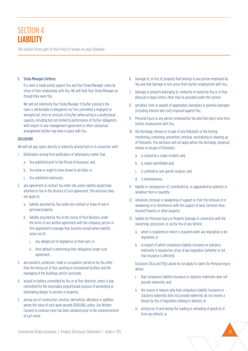This section forms part of Your Policy if shown on your Schedule

#### 5. Strata Managers Defence

If a claim is made jointly against You and Your Strata Manager solely by virtue of their relationship with You, We will treat Your Strata Manager as though they were You.

We will not indemnify Your Strata Manager if his/her joining in the claim is attributable to allegations he/ she committed a negligent or wrongful act, error or omission of his/her when acting in a professional capacity, including but not limited to performance of his/her obligations with respect to any management agreement or other contractual arrangement he/she may have in place with You.

#### EXCLUSIONS

We will not pay claims directly or indirectly arising from or in connection with:

- 1. Defamation arising from publication of defamatory matter that:
	- a. You published prior to the Period of Insurance; and
	- b. You knew or ought to have known to be false; or
	- c. You published maliciously.
- 2. any agreement or contract You enter into unless liability would have attached to You in the absence of such agreement. This exclusion does not apply to:
	- a. liability assumed by You under any contract or lease of real or personal property;
	- b. liability assumed by You in the course of Your Business under the terms of any written agreement with the company, person or firm appointed to manage Your business except where liability arises out of:
		- i. any alleged act of negligence on their part; or
		- ii. their default in performing their obligations under such agreement.
- 3. any business, profession, trade or occupation carried on by You other than the hiring out of Your sporting or recreational facilities and the managing of the Buildings and its surrounds;
- 4. assault or battery committed by You or at Your direction, unless it was committed for the reasonably proportionate purpose of preventing or eliminating danger to persons or property;
- 5. arising out of construction, erection, demolition, alteration or addition where the value of such work exceeds \$500,000, unless Our Written Consent to continue cover has been obtained prior to the commencement of such work;
- 6. Damage to, or loss of, property that belongs to any person employed by You and that Damage or loss arises from his/her employment with You;
- 7. Damage to property belonging to, rented by or leased by You or in Your physical or legal control, other than as provided under this section;
- 8. penalties, fines or awards of aggravated, exemplary or punitive damages (including interest and costs) imposed against You;
- 9. Personal Injury to any person employed by You and that injury arise from his/her employment with You;
- 10. the discharge, release or escape of any Pollutants or the testing, monitoring, containing, prevention, removal, neutralising or cleaning up of Pollutants. This exclusion will not apply where the discharge, dispersal, release or escape of Pollutants:
	- a. is caused by a single incident, and;
	- b. is clearly identifiable and;
	- c. is confined to one specific location; and
	- d. is instantaneous.
- 11. liability in consequence of, contributed to, or aggravated by asbestos in whatever form or quantity;
- 12. vibrations, removal or weakening of support or from the removal of or weakening of or interference with the support of land, Common Area , Insured Property or other property.
- 13. liability for Personal Injury or Property Damage in connection with the ownership, possession, or use by You of any Vehicle:
	- a. which is registered or which is required under any legislation to be registered, or
	- b. in respect of which compulsory liability insurance or statutory indemnity is required by virtue of any legislation (whether or not that insurance is affected).

Exclusions 13(a) and 13(b) above do not apply to claims for Personal Injury where:

- i. that compulsory liability insurance or statutory indemnity does not provide indemnity; and
- ii. the reason or reasons why that compulsory liability insurance or statutory indemnity does not provide indemnity do not involve a breach by You of legislation relating to Vehicles; or
- iii. arising out of and during the loading or unloading of goods to or from any Vehicle; or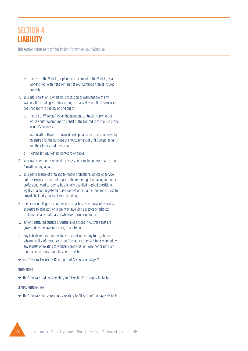This section forms part of Your Policy if shown on your Schedule

- iv. the use of the Vehicle, or plant or attachment to the Vehicle, as a Working Tool within the confines of Your Common Area or Insured Property;
- 14. Your use, operation, ownership, possession or maintenance of any Watercraft exceeding 8 metres in length or any Hovercraft. This exclusion does not apply to liability arising out of:
	- a. the use of Watercraft by an independent contractor carrying out works and/or operations on behalf of the Insured in the course of the Insured's Business;
	- b. Watercraft or Hovercraft owned and operated by others and used by an Insured for the purpose of entertainment of Unit Owners, tenants and their family and friends; or
	- c. floating jetties, floating pontoons or buoys;
- 15. Your use, operation, ownership, possession or maintenance of Aircraft or Aircraft landing areas;
- 16. Your performance of or failing to render professional advice or service, but this exclusion does not apply to the rendering of or failing to render professional medical advice by a legally qualified medical practitioner, legally qualified registered nurse, dentist or first aid attendant You use to provide first aid services at Your Situation;
- 17. the actual or alleged use or presence of asbestos, removal of asbestos, exposure to asbestos, or in any way involving asbestos or asbestos contained in any materials in whatever form or quantity;
- 18. actions instituted outside of Australia or actions in Australia that are governed by the laws of a foreign country; or
- 19. any liability required by law to be covered under any fund, scheme, scheme, policy of insurance or self-insurance pursuant to or required by any legislation relating to workers compensation, whether or not such fund, scheme or insurance has been effected.

See also 'General Exclusions Relating To All Sections' on page 45.

#### CONDITIONS

See the 'General Conditions Relating To All Sections' on pages 46 to 47.

#### CLAIMS PROCEDURES

See the 'General Claims Procedures Relating To All Sections' on pages 48 to 49.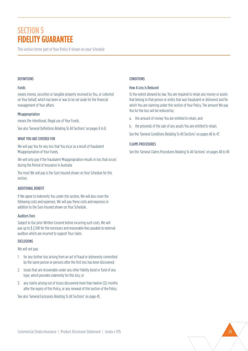# **SECTION 5 FIDELITY GUARANTEE**

This section forms part of Your Policy if shown on your Schedule

#### **DEFINITIONS**

#### Funds

means money, securities or tangible property received by You, or collected on Your behalf, which has been or was to be set aside for the financial management of Your affairs.

#### Misappropriation

means the intentional, illegal use of Your Funds.

See also 'General Definitions Relating To All Sections' on pages 6 to 8.

#### WHAT YOU ARE COVERED FOR

We will pay You for any loss that You incur as a result of fraudulent Misappropriation of Your Funds.

We will only pay if the fraudulent Misappropriation results in loss that occurs during the Period of Insurance in Australia

The most We will pay is the Sum Insured shown on Your Schedule for this section.

#### ADDITIONAL BENEFIT

If We agree to indemnify You under this section, We will also cover the following costs and expenses. We will pay these costs and expenses in addition to the Sum Insured shown on Your Schedule.

#### Auditors Fees

Subject to Our prior Written Consent before incurring such costs, We will pay up to \$ 2,500 for the necessary and reasonable fees payable to external auditors which are incurred to support Your claim.

#### EXCLUSIONS

We will not pay:

- 1. for any further loss arising from an act of fraud or dishonesty committed by the same person or persons after the first loss has been discovered;
- 2. losses that are recoverable under any other fidelity bond or fund of any type, which provides indemnity for this loss; or
- 3. any claims arising out of losses discovered more than twelve (12) months after the expiry of this Policy, or any renewal of this section of the Policy.

See also 'General Exclusions Relating To All Sections' on page 45.

# CONDITIONS

#### How A Loss Is Reduced

To the extent allowed by law, You are required to retain any money or assets that belong to that person or entity that was fraudulent or dishonest and for which You are claiming under this section of Your Policy. The amount We pay You for the loss will be reduced by:

- a. the amount of money You are entitled to retain, and
- b. the proceeds of the sale of any assets You are entitled to retain.

See the 'General Conditions Relating To All Sections' on pages 46 to 47.

# CLAIMS PROCEDURES

See the 'General Claims Procedures Relating To All Sections' on pages 48 to 49.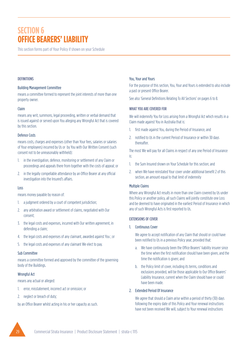# **SECTION 6 OFFICE BEARERS' LIABILITY**

This section forms part of Your Policy if shown on your Schedule

### **DEFINITIONS**

#### Building Management Committee

means a committee formed to represent the joint interests of more than one property owner.

# Claim

means any writ, summons, legal proceeding, written or verbal demand that is issued against or served upon You alleging any Wrongful Act that is covered by this section.

# Defence Costs

means costs, charges and expenses (other than Your fees, salaries or salaries of Your employees) incurred by Us or by You with Our Written Consent (such consent not to be unreasonably withheld):

- 1. in the investigation, defence, monitoring or settlement of any Claim or proceedings and appeals there from together with the costs of appeal; or
- 2. in the legally compellable attendance by an Office Bearer at any official investigation into the Insured's affairs.

#### Loss

means money payable by reason of:

- 1. a judgment ordered by a court of competent jurisdiction;
- 2. any arbitration award or settlement of claims, negotiated with Our consent;
- 3. the legal costs and expenses, incurred with Our written agreement, in defending a claim;
- 4. the legal costs and expenses of any claimant, awarded against You ; or
- 5. the legal costs and expenses of any claimant We elect to pay.

# Sub Committee

means a committee formed and approved by the committee of the governing body of the Buildings.

# Wrongful Act

means any actual or alleged:

- 1. error, misstatement, incorrect act or omission; or
- 2. neglect or breach of duty;

by an Office Bearer whilst acting in his or her capacity as such.

#### You, Your and Yours

For the purpose of this section, You, Your and Yours is extended to also include a past or present Office Bearer.

See also 'General Definitions Relating To All Sections' on pages 6 to 8.

# WHAT YOU ARE COVERED FOR

We will indemnify You for Loss arising from a Wrongful Act which results in a Claim made against You in Australia that is:

- 1. first made against You, during the Period of Insurance, and
- 2. notified to Us in the current Period of Insurance or within 30 days thereafter.

The most We will pay for all Claims in respect of any one Period of Insurance is:

- 1. the Sum Insured shown on Your Schedule for this section; and
- 2. when We have reinstated Your cover under additional benefit 2 of this section, an amount equal to that limit of indemnity

# Multiple Claims

Where any Wrongful Act results in more than one Claim covered by Us under this Policy or another policy, all such Claims will jointly constitute one Loss and be deemed to have originated in the earliest Period of Insurance in which any of such Wrongful Acts is first reported to Us.

# EXTENSIONS OF COVER

#### 1. Continuous Cover

We agree to accept notification of any Claim that should or could have been notified to Us in a previous Policy year, provided that:

- a. We have continuously been the Office Bearers' liability insurer since the time when the first notification should have been given, and the time the notification is given; and
- b. the Policy limit of cover, including its terms, conditions and exclusions provided, will be those applicable to Our Office Bearers' Liability Insurance, current when the Claim should have or could have been made.

# 2. Extended Period Of Insurance

We agree that should a Claim arise within a period of thirty (30) days following the expiry date of this Policy and Your renewal instructions have not been received We will, subject to Your renewal instructions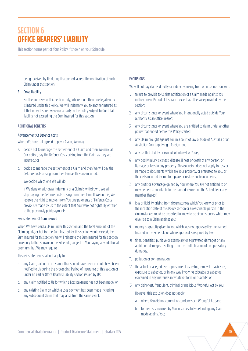# **SECTION 6 OFFICE BEARERS' LIABILITY**

This section forms part of Your Policy if shown on your Schedule

being received by Us during that period, accept the notification of such Claim under this section.

#### 3. Cross Liability

For the purposes of this section only, where more than one legal entity is insured under this Policy, We will indemnify You to another Insured as if that other Insured were not a party to the Policy subject to Our total liability not exceeding the Sum Insured for this section.

#### ADDITIONAL BENEFITS

#### Advancement Of Defence Costs

Where We have not agreed to pay a Claim, We may:

- a. decide not to manage the settlement of a Claim and then We may, at Our option, pay the Defence Costs arising from the Claim as they are incurred.; or
- b. decide to manage the settlement of a Claim and then We will pay the Defence Costs arising from the Claim as they are incurred.

#### We decide which one We will do.

If We deny or withdraw indemnity or a Claim is withdrawn, We will stop paying the Defence Costs arising from the Claim. If We do this, We reserve the right to recover from You any payments of Defence Costs previously made by Us to the extent that You were not rightfully entitled to the previously paid payments.

#### Reinstatement Of Sum Insured

When We have paid a Claim under this section and the total amount of the Claim equals, or but for the Sum Insured for this section would exceed, the Sum Insured for this section We will reinstate the Sum Insured for this section once only to that shown on the Schedule, subject to You paying any additional premium that We may require.

This reinstatement shall not apply to:

- a. any Claim, fact or circumstance that should have been or could have been notified to Us during the proceeding Period of Insurance of this section or under an earlier Office Bearers Liability section issued by Us;
- b. any Claim notified to Us for which a Loss payment has not been made; or
- c. any existing Claim on which a Loss payment has been made including any subsequent Claim that may arise from the same event.

#### **EXCLUSIONS**

We will not pay claims directly or indirectly arising from or in connection with:

- 1. failure to provide to Us first notification of a Claim made against You in the current Period of Insurance except as otherwise provided by this section;
- 2. any circumstance or event where You intentionally acted outside Your authority as an Office Bearer;
- 3. any circumstance or event where You are entitled to claim under another policy that ended before this Policy started;
- 4. any Claim brought against You in a court of law outside of Australia or an Australian Court applying a foreign law;
- 5. any conflict of duty or conflict of interest of Yours;
- 6. any bodily injury, sickness, disease, illness or death of any person, or Damage or Loss to any property. This exclusion does not apply to Loss or Damage to documents which are Your property, or entrusted to You, or the costs incurred by You to replace or restore such documents;
- 7. any profit or advantage gained by You where You are not entitled to or may be held accountable to the named Insured on the Schedule or any member thereof;
- 8. loss or liability arising from circumstances which You knew of prior to the inception date of this Policy section or a reasonable person in the circumstances could be expected to know to be circumstances which may give rise to a Claim against You;
- 9. money or gratuity given to You which was not approved by the named Insured in the Schedule or where approval is required by law;
- 10. fines, penalties, punitive or exemplary or aggravated damages or any additional damages resulting from the multiplication of compensatory damages.
- 11. pollution or contamination;
- 12. the actual or alleged use or presence of asbestos, removal of asbestos, exposure to asbestos, or in any way involving asbestos or asbestos contained in any materials in whatever form or quantity; or
- 13. any dishonest, fraudulent, criminal or malicious Wrongful Act by You.

However this exclusion does not apply:

- a. where You did not commit or condone such Wrongful Act; and
- b. to the costs incurred by You in successfully defending any Claim made against You;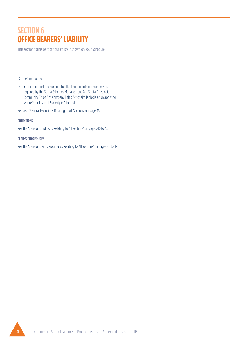# **SECTION 6 OFFICE BEARERS' LIABILITY**

This section forms part of Your Policy if shown on your Schedule

- 14. defamation; or
- 15. Your intentional decision not to effect and maintain insurances as required by the Strata Schemes Management Act, Strata Titles Act, Community Titles Act, Company Titles Act or similar legislation applying where Your Insured Property is Situated.

See also 'General Exclusions Relating To All Sections' on page 45.

#### **CONDITIONS**

See the 'General Conditions Relating To All Sections' on pages 46 to 47.

#### CLAIMS PROCEDURES

See the 'General Claims Procedures Relating To All Sections' on pages 48 to 49.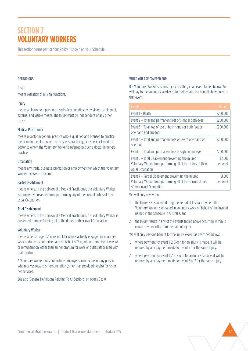# **SECTION 7 VOLUNTARY WORKERS**

This section forms part of Your Policy if shown on your Schedule

#### **DEFINITIONS**

#### Death

means cessation of all vital functions.

#### Injury

means an Injury to a person caused solely and directly by violent, accidental, external and visible means. The Injury must be independent of any other cause.

#### Medical Practitioner

means a doctor in general practice who is qualified and licensed to practice medicine in the place where he or she is practicing, or a specialist medical doctor to whom the Voluntary Worker is referred by such a doctor in general practice.

#### **Occupation**

means any trade, business, profession or employment for which the Voluntary Worker receives an income.

# Partial Disablement

means where, in the opinion of a Medical Practitioner, the Voluntary Worker is completely prevented from performing any of the normal duties of their usual Occupation.

# Total Disablement

means where, in the opinion of a Medical Practitioner, the Voluntary Worker is prevented from performing all of the duties of their usual Occupation.

#### Voluntary Worker

means a person aged 12 years or older who is actually engaged in voluntary work or duties as authorised and on behalf of You, without promise of reward or remuneration, other than an honorarium for work or duties associated with that function.

A Voluntary Worker does not include employees, contractors or any person who receives reward or remuneration (other than provided herein) for his or her services.

See also 'General Definitions Relating To All Sections' on pages 6 to 8.

#### WHAT YOU ARE COVERED FOR

If a Voluntary Worker sustains Injury resulting in an event tabled below, We will pay to the Voluntary Worker or to their estate, the benefit shown next to that event.

| Events                                                                                                                                         | <b>Benefit</b>      |
|------------------------------------------------------------------------------------------------------------------------------------------------|---------------------|
| Event 1 - Death                                                                                                                                | \$200,000           |
| Event 2 – Total and permanent loss of sight in both eyes                                                                                       | \$200,000           |
| Event 3 – Total loss of use of both hands or both feet or<br>one hand and one foot                                                             | \$200,000           |
| Event 4 - Total and permanent loss of use of one hand or<br>one foot                                                                           | \$200,000           |
| Event 5 - Total and permanent loss of sight in one eye                                                                                         | \$100,000           |
| Event 6 - Total Disablement preventing the injured<br>Voluntary Worker from performing all of the duties of their<br>usual Occupation          | \$2,000<br>per week |
| Event 7 – Partial Disablement preventing the injured<br>Voluntary Worker from performing all of the normel duties<br>of their usual Occupation | \$1.000<br>per week |

We will only pay when:

- 1. the Injury is sustained during the Period of Insurance when the Voluntary Worker is engaged in voluntary work on behalf of the Insured named in the Schedule in Australia, and
- 2. the Injury results in any of the events tabled above occurring within 12 consecutive months from the date of Injury

We will only pay one benefit for the Injury, except as described below:

- 1. where payment for event 1, 2, 3 or 4 for an Injury is made, it will be reduced by any payment made for event 5 for the same Injury.
- 2. where payment for event 1, 2, 3, 4 or 5 for an Injury is made, it will be reduced by any payment made for event 6 or 7 for the same Injury.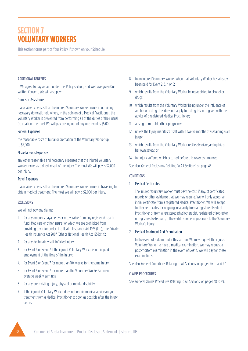# **SECTION 7 VOLUNTARY WORKERS**

This section forms part of Your Policy if shown on your Schedule

# ADDITIONAL BENEFITS

If We agree to pay a claim under this Policy section, and We have given Our Written Consent, We will also pay:

#### Domestic Assistance

reasonable expenses that the injured Voluntary Worker incurs in obtaining necessary domestic help where, in the opinion of a Medical Practitioner, the Voluntary Worker is prevented from performing all of the duties of their usual Occupation. The most We will pay arising out of any one event is \$5,000.

#### Funeral Expenses

the reasonable costs of burial or cremation of the Voluntary Worker up to \$5,000.

#### Miscellaneous Expenses

any other reasonable and necessary expenses that the injured Voluntary Worker incurs as a direct result of the Injury. The most We will pay is \$2,000 per Injury.

# Travel Expenses

reasonable expenses that the injured Voluntary Worker incurs in travelling to obtain medical treatment. The most We will pay is \$2,000 per Injury.

# EXCLUSIONS

We will not pay any claims:

- 1. for any amounts payable by or recoverable from any registered health fund, Medicare or other insurer or which we are prohibited from providing cover for under the Health Insurance Act 1973 (Cth), the Private Health Insurance Act 2007 (Cth) or National Health Act 1953(Cth);
- 2. for any deliberately self-inflicted Injury;
- 3. for Event 6 or Event 7 if the injured Voluntary Worker is not in paid employment at the time of the Injury;
- 4. for Event 6 or Event 7 for more than 104 weeks for the same Injury;
- 5. for Event 6 or Event 7 for more than the Voluntary Worker's current average weekly earnings;
- 6. for any pre-existing Injury, physical or mental disability;
- 7. if the injured Voluntary Worker does not obtain medical advice and/or treatment from a Medical Practitioner as soon as possible after the Injury occurs;
- 8. to an injured Voluntary Worker when that Voluntary Worker has already been paid for Event 2, 3, 4 or 5;
- 9. which results from the Voluntary Worker being addicted to alcohol or drugs;
- 10. which results from the Voluntary Worker being under the influence of alcohol or a drug. This does not apply to a drug taken or given with the advice of a registered Medical Practitioner;
- 11. arising from childbirth or pregnancy;
- 12. unless the Injury manifests itself within twelve months of sustaining such Injury;
- 13. which results from the Voluntary Worker recklessly disregarding his or her own safety; or
- 14. for Injury suffered which occurred before this cover commenced.

See also 'General Exclusions Relating To All Sections' on page 45.

### **CONDITIONS**

1. Medical Certificates

The injured Voluntary Worker must pay the cost, if any, of certificates, reports or other evidence that We may require. We will only accept an initial certificate from a registered Medical Practitioner. We will accept further certificates for ongoing incapacity from a registered Medical Practitioner or from a registered physiotherapist, registered chiropractor or registered osteopath, if the certification is appropriate to the Voluntary Worker's Injury.

# 2. Medical Treatment And Examination

In the event of a claim under this section, We may request the injured Voluntary Worker to have a medical examination. We may request a post-mortem examination in the event of Death. We will pay for these examinations.

See also 'General Conditions Relating To All Sections' on pages 46 to and 47.

# CLAIMS PROCEDURES

See 'General Claims Procedures Relating To All Sections' on pages 48 to 49.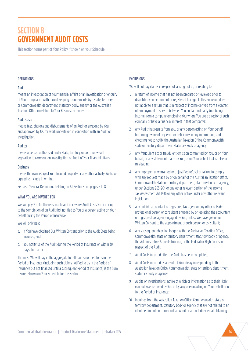# **SECTION 8 GOVERNMENT AUDIT COSTS**

This section forms part of Your Policy if shown on your Schedule

#### **DEFINITIONS**

#### Audit

means an investigation of Your financial affairs or an investigation or enquiry of Your compliance with record-keeping requirements by a state, territory or Commonwealth department, statutory body, agency or the Australian Taxation Office in relation to Your Business activities.

#### Audit Costs

means fees, charges and disbursements of an Auditor engaged by You, and approved by Us, for work undertaken in connection with an Audit or investigation.

#### Auditor

means a person authorised under state, territory or Commonwealth legislation to carry out an investigation or Audit of Your financial affairs.

#### Business

means the ownership of Your Insured Property or any other activity We have agreed to include in writing.

See also 'General Definitions Relating To All Sections' on pages 6 to 8.

#### WHAT YOU ARF COVERED FOR

We will pay You for the reasonable and necessary Audit Costs You incur up to the completion of an Audit first notified to You or a person acting on Your behalf during the Period of Insurance.

#### We will only pay:

- a. if You have obtained Our Written Consent prior to the Audit Costs being incurred, and
- b. You notify Us of the Audit during the Period of Insurance or within 30 days thereafter.

The most We will pay in the aggregate for all claims notified to Us in the Period of Insurance (including such claims notified to Us in the Period of Insurance but not finalised until a subsequent Period of Insurance) is the Sum Insured shown on Your Schedule for this section.

### **EXCLUSIONS**

We will not pay claims in respect of, arising out of, or relating to:

- 1. a return of income that has not been prepared or reviewed prior to dispatch by an accountant or registered tax agent. This exclusion does not apply to a return that is in respect of income derived from a contract of employment or service between You and a third party (not being income from a company employing You where You are a director of such company or have a financial interest in that company);
- 2. any Audit that results from You, or any person acting on Your behalf, becoming aware of any error or deficiency in any information, and choosing not to notify the Australian Taxation Office, Commonwealth, state or territory department, statutory Body or agency;
- 3. any fraudulent act or fraudulent omission committed by You, or on Your behalf, or any statement made by You, or on Your behalf that is false or misleading.
- 4. any improper, unwarranted or unjustified refusal or failure to comply with any request made by or on behalf of the Australian Taxation Office, Commonwealth, state or territory department, statutory body or agency, under Sections 263, 264 or any other relevant section of the Income Tax Assessment Act 1936 or any other notice under any other relevant legislation;
- 5. any outside accountant or registered tax agent or any other outside professional person or consultant engaged by or replacing the accountant or registered tax agent engaged by You, unless We have given Our Written Consent to the appointment of such person or consultant;
- 6. any subsequent objection lodged with the Australian Taxation Office, Commonwealth, state or territory department, statutory body or agency, the Administrative Appeals Tribunal, or the Federal or High Courts in respect of the Audit;
- 7. Audit Costs incurred after the Audit has been completed;
- 8. Audit Costs incurred as a result of Your delay in responding to the Australian Taxation Office, Commonwealth, state or territory department, statutory body or agency;
- 9. Audits or investigations, notice of which or information as to their likely conduct was received by You or by any person acting on Your behalf prior to the Period of Insurance;
- 10. inquiries from the Australian Taxation Office, Commonwealth, state or territory department, statutory body or agency that are not related to an identified intention to conduct an Audit or are not directed at obtaining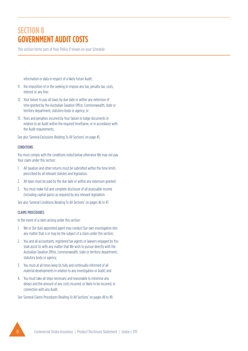# **SECTION 8 GOVERNMENT AUDIT COSTS**

This section forms part of Your Policy if shown on your Schedule

information or data in respect of a likely future Audit;

- 11. the imposition of or the seeking to impose any tax, penalty tax, costs, interest or any fine;
- 12. Your failure to pay all taxes by due date or within any extension of time granted by the Australian Taxation Office, Commonwealth, state or territory department, statutory body or agency; or
- 13. fines and penalties incurred by Your failure to lodge documents in relation to an Audit within the required timeframe, or in accordance with the Audit requirements.

See also 'General Exclusions Relating To All Sections' on page 45.

#### CONDITIONS

You must comply with the conditions noted below otherwise We may not pay Your claim under this section:

- 1. All taxation and other returns must be submitted within the time limits prescribed by all relevant statutes and legislation.
- 2. All taxes must be paid by the due date or within any extension granted.
- 3. You must make full and complete disclosure of all assessable income (including capital gains) as required by any relevant legislation.

See also 'General Conditions Relating To All Sections' on pages 46 to 47.

#### CLAIMS PROCEDURES

In the event of a claim arising under this section:

- 1. We or Our duly appointed agent may conduct Our own investigation into any matter that is or may be the subject of a claim under this section;
- 2. You and all accountants, registered tax agents or lawyers engaged by You shall assist Us with any matter that We wish to pursue directly with the Australian Taxation Office, Commonwealth, state or territory department, statutory body or agency;
- 3. You must at all times keep Us fully and continually informed of all material developments in relation to any investigation or Audit; and
- 4. You must take all steps necessary and reasonable to minimise any delays and the amount of any costs incurred, or likely to be incurred, in connection with any Audit.

See 'General Claims Procedures Relating To All Sections' on pages 48 to 49.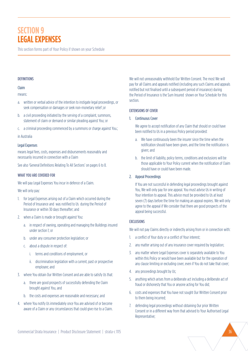# **SECTION 9 LEGAL EXPENSES**

This section forms part of Your Policy if shown on your Schedule

#### **DEFINITIONS**

# Claim

#### means:

- a. written or verbal advice of the intention to instigate legal proceedings, or seek compensation or damages or seek non-monetary relief ;or
- b. a civil proceeding initiated by the serving of a complaint, summons, statement of claim or demand or similar pleading against You; or
- c. a criminal proceeding commenced by a summons or charge against You.;

#### in Australia

# Legal Expenses

means legal fees, costs, expenses and disbursements reasonably and necessarily incurred in connection with a Claim

See also 'General Definitions Relating To All Sections' on pages 6 to 8.

# WHAT YOU ARE COVERED FOR

We will pay Legal Expenses You incur in defence of a Claim.

We will only pay:

- 1. for Legal Expenses arising out of a Claim which occurred during the Period of Insurance and was notified to Us during the Period of Insurance or within 30 days thereafter; and
- 2. when a Claim is made or brought against You:
	- a. in respect of owning, operating and managing the Buildings insured under section 1; or
	- b. under any consumer protection legislation; or
	- c. about a dispute in respect of:
		- i. terms and conditions of employment, or
		- ii. discrimination legislation with a current, past or prospective employee; and
- 3. where You obtain Our Written Consent and are able to satisfy Us that:
	- a. there are good prospects of successfully defending the Claim brought against You, and
	- b. the costs and expenses are reasonable and necessary; and
- 4. where You notify Us immediately once You are advised of or become aware of a Claim or any circumstances that could give rise to a Claim.

We will not unreasonably withhold Our Written Consent. The most We will pay for all Claims and appeals notified (including any such Claims and appeals notified but not finalised until a subsequent period of insurance) during the Period of Insurance is the Sum Insured shown on Your Schedule for this section.

#### EXTENSIONS OF COVER

#### 1. Continuous Cover

We agree to accept notification of any Claim that should or could have been notified to Us in a previous Policy period provided:

- a. We have continuously been the insurer since the time when the notification should have been given, and the time the notification is given; and
- b. the limit of liability, policy terms, conditions and exclusions will be those applicable to Your Policy current when the notification of Claim should have or could have been made.

# 2. Appeal Proceedings

If You are not successful in defending legal proceedings brought against You, We will only pay for one appeal. You must advise Us in writing of Your intention to appeal. This advice must be provided to Us at least seven (7) days before the time for making an appeal expires. We will only agree to the appeal if We consider that there are good prospects of the appeal being successful.

# EXCLUSIONS

We will not pay Claims directly or indirectly arising from or in connection with:

- 1. a conflict of Your duty or a conflict of Your interest;
- 2. any matter arising out of any insurance cover required by legislation;
- 3. any matter where Legal Expenses cover is separately available to You within this Policy or would have been available but for the operation of any clause limiting or excluding cover, even if You do not take that cover;
- 4. any proceedings brought by Us;
- 5. anything which arises from a deliberate act including a deliberate act of fraud or dishonesty that You or anyone acting for You did;
- 6. costs and expenses that You have not sought Our Written Consent prior to them being incurred;
- 7. defending legal proceedings without obtaining Our prior Written Consent or in a different way from that advised to Your Authorised Legal Representative;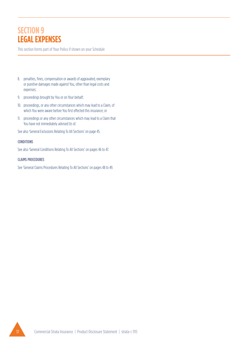# **SECTION 9 LEGAL EXPENSES**

This section forms part of Your Policy if shown on your Schedule

- 8. penalties, fines, compensation or awards of aggravated, exemplary or punitive damages made against You, other than legal costs and expenses;
- 9. proceedings brought by You or on Your behalf;
- 10. proceedings, or any other circumstances which may lead to a Claim, of which You were aware before You first effected this insurance; or
- 11. proceedings or any other circumstances which may lead to a Claim that You have not immediately advised Us of.

See also 'General Exclusions Relating To All Sections' on page 45.

#### CONDITIONS

See also 'General Conditions Relating To All Sections' on pages 46 to 47.

# CLAIMS PROCEDURES

See 'General Claims Procedures Relating To All Sections' on pages 48 to 49.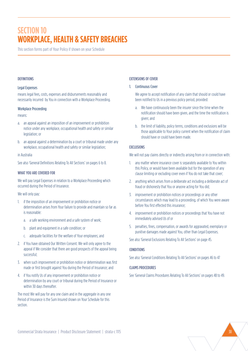# **SECTION 10 WORKPLACE, HEALTH & SAFETY BREACHES**

This section forms part of Your Policy if shown on your Schedule

#### **DEFINITIONS**

#### Legal Expenses

means legal fees, costs, expenses and disbursements reasonably and necessarily incurred by You in connection with a Workplace Proceeding.

#### Workplace Proceeding

means:

- a. an appeal against an imposition of an improvement or prohibition notice under any workplace, occupational health and safety or similar legislation; or
- b. an appeal against a determination by a court or tribunal made under any workplace, occupational health and safety or similar legislation;

#### in Australia

See also 'General Definitions Relating To All Sections' on pages 6 to 8.

#### WHAT YOU ARE COVERED FOR

We will pay Legal Expenses in relation to a Workplace Proceeding which occurred during the Period of Insurance.

We will only pay:

- 1. if the imposition of an improvement or prohibition notice or determination arises from Your failure to provide and maintain so far as is reasonable:
	- a. a safe working environment and a safe system of work;
	- b. plant and equipment in a safe condition; or
	- c. adequate facilities for the welfare of Your employees; and
- 2. if You have obtained Our Written Consent. We will only agree to the appeal if We consider that there are good prospects of the appeal being successful;
- 3. when such improvement or prohibition notice or determination was first made or first brought against You during the Period of Insurance; and
- 4. if You notify Us of any improvement or prohibition notice or determination by any court or tribunal during the Period of Insurance or within 30 days thereafter.

The most We will pay for any one claim and in the aggregate in any one Period of Insurance is the Sum Insured shown on Your Schedule for this section.

# EXTENSIONS OF COVER

# 1. Continuous Cover

We agree to accept notification of any claim that should or could have been notified to Us in a previous policy period, provided:

- a. We have continuously been the insurer since the time when the notification should have been given, and the time the notification is given; and
- b. the limit of liability, policy terms, conditions and exclusions will be those applicable to Your policy current when the notification of claim should have or could have been made.

# EXCLUSIONS

We will not pay claims directly or indirectly arising from or in connection with:

- 1. any matter where insurance cover is separately available to You within this Policy, or would have been available but for the operation of any clause limiting or excluding cover even if You do not take that cover;
- 2. anything which arises from a deliberate act including a deliberate act of fraud or dishonesty that You or anyone acting for You did;
- 3. improvement or prohibition notices or proceedings or any other circumstances which may lead to a proceeding, of which You were aware before You first effected this insurance;
- 4. improvement or prohibition notices or proceedings that You have not immediately advised Us of or
- 5. penalties, fines, compensation, or awards for aggravated, exemplary or punitive damages made against You, other than Legal Expenses.

See also 'General Exclusions Relating To All Sections' on page 45.

# **CONDITIONS**

See also 'General Conditions Relating To All Sections' on pages 46 to 47

# CLAIMS PROCEDURES

See 'General Claims Procedures Relating To All Sections' on pages 48 to 49.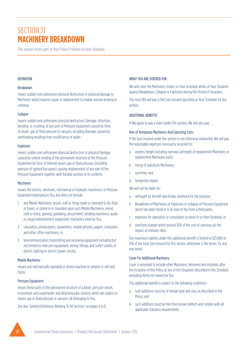This section forms part of Your Policy if shown on your Schedule

#### **DEFINITION**

#### Breakdown

means sudden and unforeseen physical destruction or physical Damage to Machinery which requires repair or replacement to enable normal working to continue.

#### Collapse

means sudden and unforeseen physical destruction, Damage, distortion, bending, or crushing, of any part of Pressure Equipment caused by force of steam, gas or fluid pressure or vacuum, including Damage caused by overheating resulting from insufficiency of water.-

#### Explosion

means sudden and unforeseen physical destruction or physical Damage caused by violent rending of the permanent structure of the Pressure Equipment by force of internal steam, gas or fluid pressure (including pressure of ignited flue gases) causing displacement of any part of the Pressure Equipment together with forcible ejection of its contents.

#### **Machinery**

means the electric, electronic, mechanical or hydraulic machinery, or Pressure Equipment belonging to You, but does not include:

- 1. any Mobile Machinery, vessel, craft or thing made or intended to fly, float or travel, or stored in or mounted upon such Mobile Machinery, vessel, craft or thing, gaming, gambling, amusement, vending machinery, audio or visual entertainment equipment; machinery hired by You;
- 2. calculators, photocopiers, typewriters, mobile phones, pagers, computers and other office machinery; or
- 3. telecommunication transmitting and receiving equipment including but not limited to intercom equipment, wiring, fittings and outlet sockets of electric lighting or electric power circuits.

#### Mobile Machinery

means any mechanically operated or driven machine on wheels or self-laid tracks.

#### Pressure Equipment

means those parts of the permanent structure of a boiler, pressure vessel, economiser and superheater and attaching pipe systems which are subject to steam, gas or fluid pressure or vacuum, all belonging to You.

See also 'General Definitions Relating To All Sections' on pages 6 to 8.

#### WHAT YOU ARE COVERED FOR

We will cover the Machinery shown on Your Schedule whilst at Your Situation against Breakdown, Collapse or Explosion during the Period of Insurance .

The most We will pay is the Sum Insured specified on Your Schedule for this section.

#### ADDITIONAL BENEFITS

If We agree to pay a claim under this section, We will also pay:

#### Hire of Temporary Machinery And Expecting Costs

If the Sum Insured under this section is not otherwise exhausted, We will pay the reasonable expenses necessarily incurred for:

- a. express freight including overseas airfreight of replacement Machinery or replacement Machinery parts;
- b. hiring of substitute Machinery;
- c. overtime; and
- d. temporary repairs.
- We will not be liable for:
- a. airfreight by Aircraft specifically chartered for the purpose;
- b. Breakdown of Machinery or Explosion or Collapse of Pressure Equipment which has been hired or is on loan to You from a third party;
- c. expenses for specialists or consultants to travel to or from Australia; or
- d. overtime charges which exceed 50% of the cost of carrying out the repairs at ordinary rates.

Our maximum liability under this additional benefit is limited to \$25,000 or 15% of the total Sum Insured for this section, whichever is the lesser, for any one event.

#### Cover For Additional Machinery

Cover is extended to include other Machinery, delivered and installed, after the inception of this Policy at any of the Situations described in the Schedule, excluding items not owned by You

This additional benefit is subject to the following conditions:

- a. such additions must be of similar type and class as described in the Policy; and
- b. such additions must be free from known defects and comply with all applicable statutory requirements.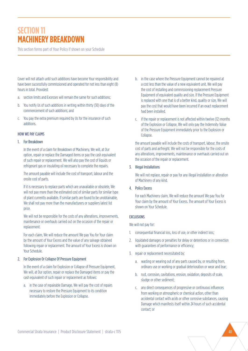This section forms part of Your Policy if shown on your Schedule

Cover will not attach until such additions have become Your responsibility and have been successfully commissioned and operated for not less than eight (8) hours in total. Provided:

- a. section limits and Excesses will remain the same for such additions;
- b. You notify Us of such additions in writing within thirty (30) days of the commencement of such additions; and
- c. You pay the extra premium required by Us for the insurance of such additions.

# HOW WE PAY CLAIMS

#### 1. For Breakdown

In the event of a claim for Breakdown of Machinery, We will, at Our option, repair or replace the Damaged items or pay the cash equivalent of such repair or replacement. We will also pay the cost of liquids or refrigerant gas or insulating oil necessary to complete the repairs.

The amount payable will include the cost of transport, labour and the onsite cost of parts.

If it is necessary to replace parts which are unavailable or obsolete, We will not pay more than the estimated cost of similar parts for similar type of plant currently available. If similar parts are found to be unobtainable, We shall not pay more than the manufacturers or suppliers latest list price.

We will not be responsible for the costs of any alterations, improvements, maintenance or overhauls carried out on the occasion of the repair or replacement.

For each claim, We will reduce the amount We pay You for Your claim by the amount of Your Excess and the value of any salvage obtained following repair or replacement. The amount of Your Excess is shown on Your Schedule.

### 2. For Explosion Or Collapse Of Pressure Equipment

In the event of a claim for Explosion or Collapse of Pressure Equipment, We will, at Our option, repair or replace the Damaged items or pay the cash equivalent of such repair or replacement as follows:

a. in the case of repairable Damage, We will pay the cost of repairs necessary to restore the Pressure Equipment to its condition immediately before the Explosion or Collapse.

- b. in the case where the Pressure Equipment cannot be repaired at a cost less than the value of a new equivalent unit, We will pay the cost of installing and commissioning replacement Pressure Equipment of equivalent quality and size. If the Pressure Equipment is replaced with one that is of a better kind, quality or size, We will pay the cost that would have been incurred if an exact replacement had been installed.
- c. if the repair or replacement is not affected within twelve (12) months of the Explosion or Collapse, We will only pay the Indemnity Value of the Pressure Equipment immediately prior to the Explosion or Collapse.

the amount payable will include the costs of transport, labour, the onsite cost of parts and airfreight. We will not be responsible for the costs of any alterations, improvements, maintenance or overhauls carried out on the occasion of the repair or replacement.

#### 3. Illegal Installations

We will not replace, repair or pay for any illegal installation or alteration of Machinery of any kind.

#### 4. Policy Excess

For each Machinery claim, We will reduce the amount We pay You for Your claim by the amount of Your Excess. The amount of Your Excess is shown on Your Schedule.

#### EXCLUSIONS

We will not pay for:

- 1. consequential financial loss, loss of use, or other indirect loss;
- 2. liquidated damages or penalties for delay or detentions or in connection with guarantees of performance or efficiency;
- 3. repair or replacement necessitated by:
	- a. wasting or wearing out of any parts caused by, or resulting from, ordinary use or working or gradual deterioration or wear and tear;
	- b. rust, corrosion, cavitations, erosion, oxidation, deposits of scale, sludge or other sediment;
	- c. any direct consequences of progressive or continuous influences from working or atmospheric or chemical action, other than accidental contact with acids or other corrosive substances, causing Damage which manifests itself within 24 hours of such accidental contact; or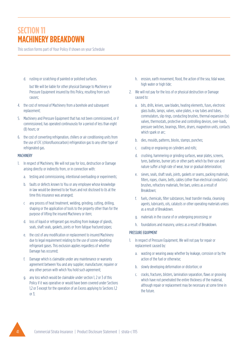This section forms part of Your Policy if shown on your Schedule

d. rusting or scratching of painted or polished surfaces.

but We will be liable for other physical Damage to Machinery or Pressure Equipment insured by this Policy, resulting from such causes;

- 4. the cost of removal of Machinery from a borehole and subsequent replacement;
- 5. Machinery and Pressure Equipment that has not been commissioned, or if commissioned, has operated continuously for a period of less than eight (8) hours; or
- 6. the cost of converting refrigeration, chillers or air conditioning units from the use of CFC (chlorofluorocarbon) refrigeration gas to any other type of refrigerated gas.

#### MACHINERY

- 1. In respect of Machinery, We will not pay for loss, destruction or Damage arising directly or indirectly from, or in connection with:
	- a. testing and commissioning, intentional overloading or experiments;
	- b. faults or defects known to You or any employee whose knowledge in law would be deemed to be Yours and not disclosed to Us at the time this insurance was arranged;
	- c any process of heat treatment, welding, grinding, cutting, drilling, shaping or the application of tools to the property other than for the purpose of lifting the insured Machinery or item;
	- d. loss of liquid or refrigerant gas resulting from leakage of glands, seals, shaft seals, gaskets, joints or from fatigue fractured pipes;
	- e. the cost of any modification or replacement to insured Machinery due to legal requirement relating to the use of ozone-depleting refrigerant gases. This exclusion applies regardless of whether Damage has occurred;
	- f. Damage which is claimable under any maintenance or warranty agreement between You and any supplier, manufacturer, repairer or any other person with which You hold such agreement;
	- g. any loss which would be claimable under section 1, 2 or 3 of this Policy if it was operative or would have been covered under Sections 1,2 or 3 except for the operation of an Excess applying to Sections 1,2 or 3;
- h. erosion, earth movement, flood, the action of the sea, tidal wave, high water or high tide:
- 2. We will not pay for the loss of or physical destruction or Damage caused to:
	- a. bits, drills, knives, saw blades, heating elements, fuses, electronic glass bulbs, lamps, valves, valve plates, x-ray tubes and tubes, commutators, slip rings, conducting brushes, thermal expansion (tx) valves, thermostats, protective and controlling devices, over-loads, pressure switches, bearings, filters, dryers, magnetron units, contacts which spark or arc;
	- b. dies, moulds, patterns, blocks, stamps, punches;
	- c. coating or engraving on cylinders and rolls;
	- d. crushing, hammering or grinding surfaces, wear plates, screens, tyres, batteries, burner jets or other parts which by their use and nature suffer a high rate of wear, tear or gradual deterioration;
	- e. sieves, seals, shaft seals, joints, gaskets or seams, packing materials, filters, ropes, chains, belts, cables (other than electrical conductors) brushes, refractory materials, fire bars, unless as a result of Breakdown;
	- f. fuels, chemicals, filter substances, heat transfer media, cleansing agents, lubricants, oils, catalysts or other operating materials unless as a result of Breakdown.
	- g. materials in the course of or undergoing processing; or
	- h. foundations and masonry, unless as a result of Breakdown.

#### PRESSURE EQUIPMENT

- 1. In respect of Pressure Equipment, We will not pay for repair or replacement caused by:
	- a. wasting or wearing away whether by leakage, corrosion or by the action of the fuel or otherwise;
	- b. slowly developing deformation or distortion; or
	- c. cracks, fractures, blisters, lamination separation, flaws or grooving which have not penetrated the entire thickness of the material, although repair or replacement may be necessary at some time in the future.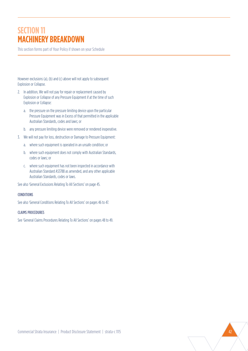This section forms part of Your Policy if shown on your Schedule

However exclusions (a), (b) and (c) above will not apply to subsequent Explosion or Collapse.

- 2. In addition, We will not pay for repair or replacement caused by Explosion or Collapse of any Pressure Equipment if at the time of such Explosion or Collapse:
	- a. the pressure on the pressure limiting device upon the particular Pressure Equipment was in Excess of that permitted in the applicable Australian Standards, codes and laws; or
	- b. any pressure limiting device were removed or rendered inoperative.
- 3. We will not pay for loss, destruction or Damage to Pressure Equipment:
	- a. where such equipment is operated in an unsafe condition; or
	- b. where such equipment does not comply with Australian Standards, codes or laws; or
	- c. where such equipment has not been inspected in accordance with Australian Standard AS3788 as amended, and any other applicable Australian Standards, codes or laws.

See also 'General Exclusions Relating To All Sections' on page 45.

#### CONDITIONS

See also 'General Conditions Relating To All Sections' on pages 46 to 47.

#### CLAIMS PROCEDURES

See 'General Claims Procedures Relating To All Sections' on pages 48 to 49.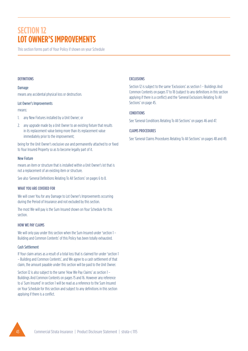# **SECTION 12 LOT OWNER'S IMPROVEMENTS**

This section forms part of Your Policy if shown on your Schedule

#### **DEFINITIONS**

Damage means any accidental physical loss or destruction.

#### Lot Owner's Improvements

#### means:

- 1. any New Fixtures installed by a Unit Owner; or
- 2. any upgrade made by a Unit Owner to an existing fixture that results in its replacement value being more than its replacement value immediately prior to the improvement;

being for the Unit Owner's exclusive use and permanently attached to or fixed to Your Insured Property so as to become legally part of it.

#### New Fixture

means an item or structure that is installed within a Unit Owner's lot that is not a replacement of an existing item or structure.

See also 'General Definitions Relating To All Sections' on pages 6 to 8.

#### WHAT YOU ARE COVERED FOR

We will cover You for any Damage to Lot Owner's Improvements occurring during the Period of Insurance and not excluded by this section.

The most We will pay is the Sum Insured shown on Your Schedule for this section.

#### HOW WE PAY CLAIMS

We will only pay under this section when the Sum Insured under 'section 1 – Building and Common Contents' of this Policy has been totally exhausted.

#### Cash Settlement

If Your claim arises as a result of a total loss that is claimed for under 'section 1 – Building and Common Contents', and We agree to a cash settlement of that claim, the amount payable under this section will be paid to the Unit Owner.

Section 12 is also subject to the same 'How We Pay Claims' as section 1 – Buildings And Common Contents on pages 15 and 16. However any reference to a' Sum Insured' in section 1 will be read as a reference to the Sum Insured on Your Schedule for this section and subject to any definitions in this section applying if there is a conflict.

#### EXCLUSIONS

Section 12 is subject to the same 'Exclusions' as section 1 – Buildings And Common Contents on pages 17 to 18 (subject to any definitions in this section applying if there is a conflict) and the 'General Exclusions Relating To All Sections' on page 45.

# **CONDITIONS**

See 'General Conditions Relating To All Sections' on pages 46 and 47.

# CLAIMS PROCEDURES

See 'General Claims Procedures Relating To All Sections' on pages 48 and 49.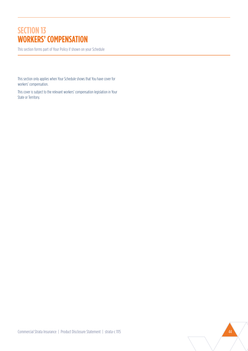# **SECTION 13 WORKERS' COMPENSATION**

This section forms part of Your Policy if shown on your Schedule

This section only applies when Your Schedule shows that You have cover for workers' compensation.

This cover is subject to the relevant workers' compensation legislation in Your State or Territory.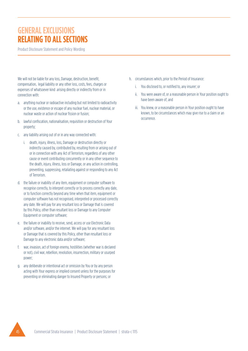# **GENERAL EXCLUSIONS RELATING TO ALL SECTIONS**

Product Disclosure Statement and Policy Wording

We will not be liable for any loss, Damage, destruction, benefit, compensation, legal liability or any other loss, costs, fees, charges or expenses of whatsoever kind arising directly or indirectly from or in connection with:

- a. anything nuclear or radioactive including but not limited to radioactivity or the use, existence or escape of any nuclear fuel, nuclear material, or nuclear waste or action of nuclear fission or fusion;
- b. lawful confiscation, nationalisation, requisition or destruction of Your property;
- c. any liability arising out of or in any way connected with:
	- i. death, injury, illness, loss, Damage or destruction directly or indirectly caused by, contributed by, resulting from or arising out of or in connection with any Act of Terrorism, regardless of any other cause or event contributing concurrently or in any other sequence to the death, injury, illness, loss or Damage, or any action in controlling, preventing, suppressing, retaliating against or responding to any Act of Terrorism.
- d. the failure or inability of any item, equipment or computer software to recognise correctly, to interpret correctly or to process correctly any date, or to function correctly beyond any time when that item, equipment or computer software has not recognised, interpreted or processed correctly any date. We will pay for any resultant loss or Damage that is covered by this Policy, other than resultant loss or Damage to any Computer Equipment or computer software;
- e. the failure or inability to receive, send, access or use Electronic Data and/or software, and/or the internet. We will pay for any resultant loss or Damage that is covered by this Policy, other than resultant loss or Damage to any electronic data and/or software;
- f. war, invasion, act of foreign enemy, hostilities (whether war is declared or not), civil war, rebellion, revolution, insurrection, military or usurped power;
- g. any deliberate or intentional act or omission by You or by any person acting with Your express or implied consent unless for the purposes for preventing or eliminating danger to Insured Property or persons; or
- h. circumstances which, prior to the Period of Insurance:
	- i. You disclosed to, or notified to, any insurer; or
	- ii. You were aware of, or a reasonable person in Your position ought to have been aware of; and
	- iii. You knew, or a reasonable person in Your position ought to have known, to be circumstances which may give rise to a claim or an occurrence.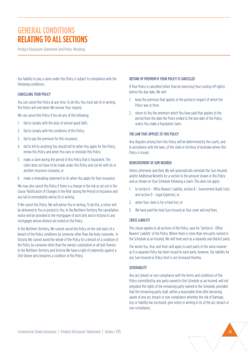# **GENERAL CONDITIONS RELATING TO ALL SECTIONS**

Product Disclosure Statement and Policy Wording

Our liability to pay a claim under this Policy is subject to compliance with the following conditions;

#### CANCELLING YOUR POLICY

You can cancel this Policy at any time. To do this, You must ask Us in writing. The Policy will end when We receive Your request.

We can cancel this Policy if You do any of the following:

- 1. fail to comply with the duty of utmost good faith;
- 2. fail to comply with the conditions of this Policy;
- 3. fail to pay the premium for this insurance;
- 4. fail to tell Us anything You should tell Us when You apply for this Policy, renew this Policy and when You vary or reinstate this Policy;
- 5. make a claim during the period of this Policy that is fraudulent. The claim does not have to be made under this Policy and can be with Us or another insurance company; or
- 6. make a misleading statement to Us when You apply for Your insurance.

We may also cancel this Policy if there is a change in the risk as set out in the clause 'Notification of Changes in the Risk' during the Period of Insurance and you fail to immediately advise Us in writing.

If We cancel this Policy, We will advise You in writing. To do this, a notice will be delivered to You or posted to You. In the Northern Territory the cancellation notice will be provided to the mortgagee of each Unit and in Victoria to any mortgagee whose interest are noted on the Policy.

In the Northern Territory, We cannot cancel the Policy on the sole basis of a breach of the Policy conditions by someone other than the body corporate. In Victoria We cannot avoid the whole of the Policy for a breach of a condition of the Policy by someone other than the owners corporation or all Unit Owners. In the Northern Territory and Victoria We have a right of indemnity against a Unit Owner who breaches a condition of the Policy.

#### REFUND OF PREMIUM IF YOUR POLICY IS CANCELLED

If Your Policy is cancelled (other than by exercising Your cooling-off rights) before the due date, We will:

- 1. keep the premium that applies to the period in respect of which the Policy was in force.
- 2. return to You the premium which You have paid that applies to the period from the date the Policy ended to the due date of the Policy, unless You make a fraudulent claim.

### THE LAW THAT APPLIES TO THIS POLICY

Any disputes arising from this Policy will be determined by the courts, and in accordance with the laws, of the state or territory of Australia where this Policy is issued.

#### REINSTATEMENT OF SUM INSURED

Unless otherwise specified, We will automatically reinstate the Sum Insured and/or Additional Benefits for a section to the amount shown in this Policy and as shown on Your Schedule following a claim. This does not apply:

- 1. to section 6 Office Bearers' Liability, section 8 Government Audit Costs, and section 9 – Legal Expenses; or
- 2. when Your claim is for a total loss; or
- 3. We have paid the total Sum Insured as Your cover will end then.

#### CROSS LIABILITY

This clause applies to all sections of the Policy, save for 'Section 6 –Office Bearers' Liability' of the Policy, Where there is more than one party named in the Schedule as an Insured, We will treat each as a separate and distinct party.

The words You, Your and Yours will apply to each party in the same manner as if a separate Policy has been issued to each party, however, Our liability for any Sum Insured or Policy limit is not increased thereby.

#### **SEVERABILITY**

Any act, breach or non-compliance with the terms and conditions of this Policy committed by any party named in the Schedule as an Insured, will not prejudice the rights of the remaining party named in the Schedule, provided that the remaining party shall, within a reasonable time after becoming aware of any act, breach or non-compliance whereby the risk of Damage, loss or liability has increased, give notice in writing to Us of the act, breach or non-compliance.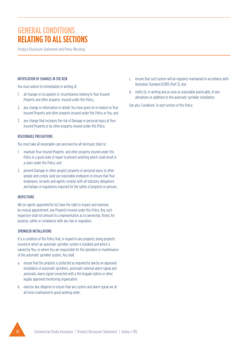# **GENERAL CONDITIONS RELATING TO ALL SECTIONS**

Product Disclosure Statement and Policy Wording

### NOTIFICATION OF CHANGES IN THE RISK

You must advise Us immediately in writing of:

- 1. all changes in occupation or circumstances relating to Your Insured Property and other property insured under this Policy.;
- 2. any change in information or details You have given Us in relation to Your Insured Property and other property insured under this Policy or You; and
- 3. any change that increases the risk of Damage or personal injury at Your Insured Property or by other property insured under this Policy.

#### REASONABLE PRECAUTIONS

You must take all reasonable care and exercise all necessary steps to:

- 1. maintain Your Insured Property and other property insured under this Policy in a good state of repair to prevent anything which could result in a claim under this Policy; and
- 2. prevent Damage to other people's property or personal injury to other people and comply (and use reasonable endeavors to ensure that Your employees, servants and agents comply) with all statutory obligations and bylaws or regulations imposed for the safety of property or persons.

#### **INSPECTIONS**

We (or agents appointed by Us) have the right to inspect and examine, by mutual appointment, any Property Insured under this Policy. Any such inspection shall not amount to a representation as to ownership, fitness for purpose, safety or compliance with any law or regulation.

#### SPRINKLER INSTALLATIONS

It is a condition of this Policy that, in regard to any property, being property insured in which an automatic sprinkler system is installed and which is owned by You, or where You are responsible for the operation or maintenance of the automatic sprinkler system, You shall:

- a. ensure that the property is protected as required by law by an approved installation of automatic sprinklers, automatic external alarm signal and automatic alarm signal connected with a fire brigade station or other legally approved monitoring organisation.
- b. exercise due diligence to ensure that any system and alarm signal are at all times maintained in good working order;
- c. ensure that such system will be regularly maintained in accordance with Australian Standard AS1851 (Part 3); and
- d. notify Us, in writing and as soon as reasonably practicable, of any alterations or additions to the automatic sprinkler installation.

See also 'Conditions' in each section of this Policy.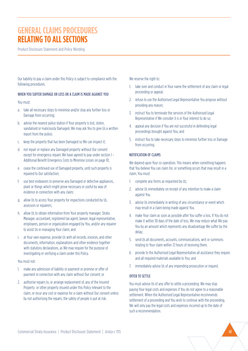# **GENERAL CLAIMS PROCEDURES RELATING TO ALL SECTIONS**

Product Disclosure Statement and Policy Wording

Our liability to pay a claim under this Policy is subject to compliance with the following procedures.

#### WHEN YOU SUFFER DAMAGE OR LOSS OR A CLAIM IS MADE AGAINST YOU

#### You must:

- a. take all necessary steps to minimise and/or stop any further loss or Damage from occurring;
- b. advise the nearest police station if Your property is lost, stolen, vandalised or maliciously Damaged. We may ask You to give Us a written report from the police;
- c. keep the property that has been Damaged so We can inspect it;
- d. not repair or replace any Damaged property without Our consent except for emergency repairs We have agreed to pay under section 1 – Additional Benefit Emergency Costs to Minimise Losses on page 10;
- e. cease the continued use of Damaged property, until such property is repaired to Our satisfaction;
- f. use best endeavors to preserve any Damaged or defective appliances, plant or things which might prove necessary or useful by way of evidence in connection with any claim;
- g. allow Us to access Your property for inspections conducted by Us, assessors or repairers;
- h. allow Us to obtain information from Your property manager, Strata Manager, accountant, registered tax agent, lawyer, legal representative, employees, person or organization engaged by You, and/or any repairer to assist Us in managing Your claim; and
- i. at Your own expense, provide Us with all records, invoices, and other documents, information, explanations and other evidence together with statutory declarations, as We may require for the purpose of investigating or verifying a claim under this Policy.

#### You must not:

- 1. make any admission of liability or payment or promise or offer of payment in connection with any claim without Our consent; or
- 2. authorise repairs to, or arrange replacement of, any of the Insured Property or other property insured under this Policy relevant to the claim, or incur any cost or expense for a claim without Our consent unless by not authorising the repairs, the safety of people is put at risk.

We reserve the right to:

- 1. take over and conduct in Your name the settlement of any claim or legal proceeding or appeal;
- 2. refuse to use the Authorised Legal Representative You propose without providing any reason;
- 3. instruct You to terminate the services of the Authorised Legal Representative if We consider it is in Your interest to do so;
- 4. appeal any decision if You are not successful in defending legal proceedings brought against You; and
- 5. instruct You to take necessary steps to minimise further loss or Damage from occurring.

#### NOTIFICATION OF CLAIMS

We depend upon Your co-operation. This means when something happens that You believe You can claim for, or something occurs that may result in a claim, You must:

- 1. complete any forms as requested by Us;
- 2. advise Us immediately on receipt of any intention to make a claim against You.
- 3. advise Us immediately in writing of any circumstance or event which may result in a claim being made against You.
- 4. make Your claim as soon as possible after You suffer a loss. If You do not make it within 30 days of the date of loss, We may reduce what We pay You by an amount which represents any disadvantage We suffer by the delay;
- 5. send Us all documents, accounts, communications, writ or summons relating to Your claim within 72 hours of receiving them.
- 6. provide to the Authorised Legal Representative all assistance they require and all required materials available to You; and
- 7. immediately advise Us of any impending prosecution or inquest.

#### OFFER TO SETTLE

You must advise Us of any offer to settle a proceeding. We may stop paying Your legal costs and expenses if You do not agree to a reasonable settlement. When the Authorised Legal Representative recommends settlement of a proceeding and You wish to continue with the proceeding, We will only pay the legal costs and expenses incurred up to the date of such a recommendation.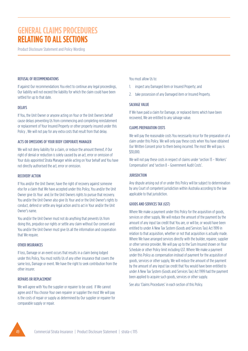# **GENERAL CLAIMS PROCEDURES RELATING TO ALL SECTIONS**

Product Disclosure Statement and Policy Wording

#### REFUSAL OF RECOMMENDATIONS

If against Our recommendations You elect to continue any legal proceedings, Our liability will not exceed the liability for which the claim could have been settled for up to that date.

#### DELAYS

If You, the Unit Owner or anyone acting on Your or the Unit Owners behalf cause delays preventing Us from commencing and completing reinstatement or replacement of Your Insured Property or other property insured under this Policy , We will not pay for any extra costs that result from that delay.

#### ACTS OR OMISSIONS OF YOUR BODY CORPORATE MANAGER

We will not deny liability for a claim, or reduce the amount thereof, if Our right of denial or reduction is solely caused by an act, error or omission of Your duly appointed Strata Manager while acting on Your behalf and You have not directly authorised the act, error or omission.

#### RECOVERY ACTION

If You and/or the Unit Owner, have the right of recovery against someone else for a claim that We have accepted under this Policy, You and/or the Unit Owner give Us Your and /or the Unit Owners rights to pursue that recovery. You and/or the Unit Owner also give Us Your and or the Unit Owner's rights to conduct, defend or settle any legal action and to act in Your and/or the Unit Owner's name.

You and/or the Unit Owner must not do anything that prevents Us from doing this, prejudice our rights or settle any claim without Our consent and You and/or the Unit Owner must give Us all the information and cooperation that We require.

#### OTHER INSURANCES

If loss, Damage or an event occurs that results in a claim being lodged under this Policy, You must notify Us of any other insurance that covers the same loss, Damage or event. We have the right to seek contribution from the other insurer.

#### REPAIRS OR REPLACEMENT

We will agree with You the supplier or repairer to be used. If We cannot agree and if You choose Your own repairer or supplier the most We will pay is the costs of repair or supply as determined by Our supplier or repairer for comparable supply or repair.

### You must allow Us to:

- 1. inspect any Damaged item or Insured Property; and
- 2. take possession of any Damaged item or Insured Property.

#### **SALVAGE VALUE**

If We have paid a claim for Damage, or replaced items which have been recovered, We are entitled to any salvage value.

#### CLAIMS PREPARATION COSTS

We will pay the reasonable costs You necessarily incur for the preparation of a claim under this Policy. We will only pay these costs when You have obtained Our Written Consent prior to them being incurred. The most We will pay is \$30,000.

We will not pay these costs in respect of claims under 'section 13 – Workers' Compensation' and 'section 8 – Government Audit Costs'.

#### **JURISDICTION**

Any dispute arising out of or under this Policy will be subject to determination by any Court of competent jurisdiction within Australia according to the law applicable to that jurisdiction.

# GOODS AND SERVICES TAX (GST)

Where We make a payment under this Policy for the acquisition of goods, services or other supply, We will reduce the amount of the payment by the amount of any input tax credit that You are, or will be, or would have been entitled to under A New Tax System (Goods and Services Tax) Act 1999 in relation to that acquisition, whether or not that acquisition is actually made. Where We have arranged services directly with the builder, repairer, supplier or other service provider, We will pay up to the Sum Insured shown on Your Schedule or other Policy limit including GST. Where We make a payment under this Policy as compensation instead of payment for the acquisition of goods, services or other supply, We will reduce the amount of the payment by the amount of any input tax credit that You would have been entitled to under A New Tax System (Goods and Services Tax) Act 1999 had the payment been applied to acquire such goods, services or other supply.

See also 'Claims Procedures' in each section of this Policy.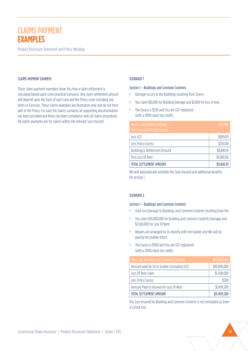Product Disclosure Statement and Policy Wording

#### CLAIMS PAYMENT EXAMPLE

These claim payment examples show You how a claim settlement is calculated based upon some practical scenarios. Any claim settlement amount will depend upon the facts of each case and the Policy cover including any limits or Excesses. These claims examples are illustrative only and do not form part of the Policy. For each the claims scenarios all supporting documentation has been provided and there has been compliance with all claims procedures. All claims examples are for claims within the relevant Sum Insured.

#### SCENARIO 1

#### Section 1 – Buildings and Common Contents

- Damage occurs to the Buildings resulting from Storm.
- You claim \$10,000 for Building Damage and \$1,000 for loss of rent.
- The Excess is \$250 and You are GST registered (with a 100% input tax credit).

| Repairs to Building Damage -<br>You have paid for the repairs | \$10,000   |
|---------------------------------------------------------------|------------|
| Less GST                                                      | \$909.09   |
| Less Policy Excess                                            | \$250.00   |
| <b>Building(s) Settlement Amount</b>                          | \$8,840.91 |
| Plus Loss Of Rent                                             | \$1,000.00 |
| TOTAL SETTLEMENT AMOUNT                                       | \$9,840.91 |

We will automatically reinstate the Sum Insured and additional benefits for section 1.

#### SCENARIO 2

#### Section 1 – Buildings and Common Contents

- Total loss Damage to Buildings and Common Contents resulting from fire.
- You claim \$10,000,000 for Building and Common Contents Damage and \$1,500,000 for Loss Of Rent.
- Repairs are arranged by Us directly with the builder and We will be paying the builder direct.
- The Excess is \$500 and You are GST registered (with a 100% input tax credit).

| <b>Total Loss Building and Common Contents</b> | \$10,000,000 |
|------------------------------------------------|--------------|
| Amount paid by Us to builder (including GST)   | \$10,000,000 |
| Loss Of Rent claim                             | \$1,500,000  |
| Less Policy Excess                             | \$500        |
| Amount Paid to Insured for Loss Of Rent        | \$1,499,500  |
| TOTAL SETTLEMENT AMOUNT                        | \$11,499,500 |

The Sum Insured for Building and Common Contents is not reinstated as there is a total loss.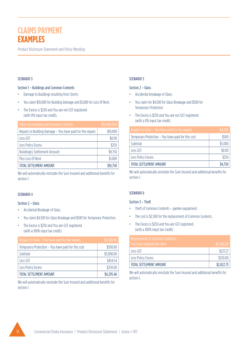Product Disclosure Statement and Policy Wording

# SCENARIO 3

#### Section 1 – Buildings and Common Contents

- Damage to Buildings resulting from Storm.
- You claim \$10,000 for Building Damage and \$1,000 for Loss Of Rent.
- The Excess is \$250 and You are not GST registered (with 0% input tax credit).

| <b>Total Loss Building and Common Contents</b>             | \$10,000,000 |
|------------------------------------------------------------|--------------|
| Repairs to Building Damage - You have paid for the repairs | \$10,000     |
| Less GST                                                   | \$0.00       |
| Less Policy Excess                                         | \$250        |
| <b>Building(s) Settlement Amount</b>                       | \$9,750      |
| Plus Loss Of Rent                                          | \$1,000      |
| TOTAL SETTLEMENT AMOUNT                                    | \$10,750     |

We will automatically reinstate the Sum Insured and additional benefits for section 1.

# SCENARIO 4

# Section 2 – Glass

- Accidental Breakage of Glass.
- You claim \$4,500 for Glass Breakage and \$500 for Temporary Protection.
- The Excess is \$250 and You are GST registered (with a 100% input tax credit).

| Repairs to Glass - You have paid for the repairs   | \$4,500.00 |
|----------------------------------------------------|------------|
| Temporary Protection - You have paid for this cost | \$500.00   |
| Subtotal                                           | \$5,000.00 |
| Less GST                                           | \$454.54   |
| Less Policy Excess                                 | \$250.00   |
| TOTAL SETTLEMENT AMOUNT                            | \$4,295,46 |

We will automatically reinstate the Sum Insured and additional benefits for section 1.

### SCENARIO 5

#### Section 2 – Glass

- Accidental breakage of Glass.
- You claim for \$4,500 for Glass Breakage and \$500 for Temporary Protection.
- The Excess is \$250 and You are not GST registered (with a 0% input tax credit).

| Repairs to Glass - You have paid for the repairs   | \$4,500 |
|----------------------------------------------------|---------|
| Temporary Protection - You have paid for this cost | \$500   |
| Subtotal                                           | \$5,000 |
| Less GST                                           | \$0.00  |
| Less Policy Excess                                 | \$250   |
| <b>TOTAL SETTLEMENT AMOUNT</b>                     | \$4,750 |

We will automatically reinstate the Sum Insured and additional benefits for section 1.

# SCENARIO 6

#### Section 3 – Theft

- Theft of Common Contents garden equipment.
- The cost is \$2,500 for the replacement of Common Contents.
- The Excess is \$250 and You are GST registered (with a 100% input tax credit).

| Replacement of Common Contents – |            |
|----------------------------------|------------|
| You have replaced the item       | \$2,500.00 |
| Less GST                         | \$227.27   |
| Less Policy Excess               | \$250.00   |
| TOTAL SETTLEMENT AMOUNT          | \$2,022.73 |

We will automatically reinstate the Sum Insured and additional benefits for section 1.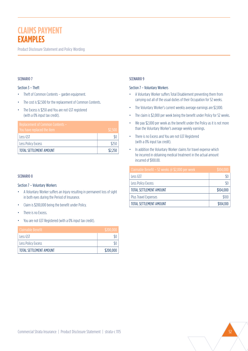Product Disclosure Statement and Policy Wording

#### SCENARIO 7

#### Section 3 – Theft

- Theft of Common Contents garden equipment.
- The cost is \$2,500 for the replacement of Common Contents.
- The Excess is \$250 and You are not GST registered (with a 0% input tax credit).

| Replacement of Common Contents – |         |
|----------------------------------|---------|
| You have replaced the item       | \$2,500 |
| Less GST                         |         |
| Less Policy Excess               | \$250   |
| TOTAL SETTLEMENT AMOUNT          | \$2,250 |

#### SCENARIO 8

#### Section 7 – Voluntary Workers

- A Voluntary Worker suffers an Injury resulting in permanent loss of sight in both eyes during the Period of Insurance.
- Claim is \$200,000 being the benefit under Policy.
- There is no Excess.
- You are not GST Registered (with a 0% input tax credit).

| <sup>'</sup> Claimable Benefit | \$200,000 |
|--------------------------------|-----------|
| Less GST                       |           |
| Less Policy Excess             |           |
| TOTAL SETTLEMENT AMOUNT        | \$200,000 |

#### SCENARIO 9

#### Section 7 – Voluntary Workers

- A Voluntary Worker suffers Total Disablement preventing them from carrying out all of the usual duties of their Occupation for 52 weeks.
- The Voluntary Worker's current weekly average earnings are \$2,000.
- The claim is \$2,000 per week being the benefit under Policy for 52 weeks.
- We pay \$2,000 per week as the benefit under the Policy as it is not more than the Voluntary Worker's average weekly earnings.
- There is no Excess and You are not GST Registered (with a 0% input tax credit).
- In addition the Voluntary Worker claims for travel expense which he incurred in obtaining medical treatment in the actual amount incurred of \$100.00.

| Claimable Benefit - 52 weeks @ \$2,000 per week | \$104,000 |
|-------------------------------------------------|-----------|
| Less GST                                        |           |
| Less Policy Excess                              |           |
| TOTAL SETTLEMENT AMOUNT                         | \$104,000 |
| Plus Travel Expenses                            | \$100     |
| TOTAL SETTLEMENT AMOUNT                         | \$104,100 |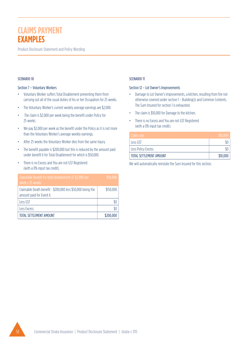Product Disclosure Statement and Policy Wording

### SCENARIO 10

#### Section 7 – Voluntary Workers

- Voluntary Worker suffers Total Disablement preventing them from carrying out all of the usual duties of his or her Occupation for 25 weeks.
- The Voluntary Worker's current weekly average earnings are \$2,000.
- The claim is \$2,000 per week being the benefit under Policy for 25 weeks.
- We pay \$2,000 per week as the benefit under the Policy as it is not more than the Voluntary Worker's average weekly earnings.
- After 25 weeks the Voluntary Worker dies from the same Injury.
- The benefit payable is \$200,000 but this is reduced by the amount paid under benefit 6 for Total Disablement for which is \$50,000.
- There is no Excess and You are not GST Registered (with a 0% input tax credit).

| Claimable Benefit for total disablement $\omega$ \$2,000 per<br>week x 25 weeks        | \$50,000  |
|----------------------------------------------------------------------------------------|-----------|
| Claimable Death benefit - \$200,000 less \$50,000 being the<br>amount paid for Event 6 | \$150,000 |
| Less GST                                                                               |           |
| <b>Less Excess</b>                                                                     |           |
| TOTAL SETTLEMENT AMOUNT                                                                | \$200,000 |

# SCENARIO 11

#### Section 12 – Lot Owner's Improvements

- Damage to Lot Owner's Improvements, a kitchen, resulting from fire not otherwise covered under section 1 – Building(s) and Common Contents. The Sum Insured for section 1 is exhausted.
- The claim is \$10,000 for Damage to the kitchen.
- There is no Excess and You are not GST Registered (with a 0% input tax credit).

| Claim cost              | \$10,000 |
|-------------------------|----------|
| Less GST                |          |
| Less Policy Excess      |          |
| TOTAL SETTLEMENT AMOUNT | \$10,000 |

We will automatically reinstate the Sum Insured for this section.